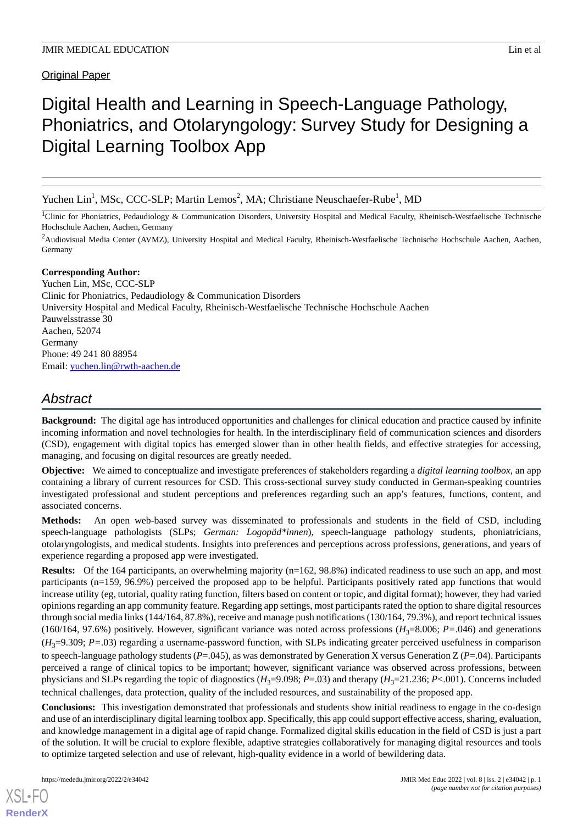Original Paper

# Digital Health and Learning in Speech-Language Pathology, Phoniatrics, and Otolaryngology: Survey Study for Designing a Digital Learning Toolbox App

Yuchen Lin<sup>1</sup>, MSc, CCC-SLP; Martin Lemos<sup>2</sup>, MA; Christiane Neuschaefer-Rube<sup>1</sup>, MD

<sup>1</sup>Clinic for Phoniatrics, Pedaudiology & Communication Disorders, University Hospital and Medical Faculty, Rheinisch-Westfaelische Technische Hochschule Aachen, Aachen, Germany

<sup>2</sup>Audiovisual Media Center (AVMZ), University Hospital and Medical Faculty, Rheinisch-Westfaelische Technische Hochschule Aachen, Aachen, Germany

## **Corresponding Author:**

Yuchen Lin, MSc, CCC-SLP Clinic for Phoniatrics, Pedaudiology & Communication Disorders University Hospital and Medical Faculty, Rheinisch-Westfaelische Technische Hochschule Aachen Pauwelsstrasse 30 Aachen, 52074 Germany Phone: 49 241 80 88954 Email: [yuchen.lin@rwth-aachen.de](mailto:yuchen.lin@rwth-aachen.de)

# *Abstract*

**Background:** The digital age has introduced opportunities and challenges for clinical education and practice caused by infinite incoming information and novel technologies for health. In the interdisciplinary field of communication sciences and disorders (CSD), engagement with digital topics has emerged slower than in other health fields, and effective strategies for accessing, managing, and focusing on digital resources are greatly needed.

**Objective:** We aimed to conceptualize and investigate preferences of stakeholders regarding a *digital learning toolbox*, an app containing a library of current resources for CSD. This cross-sectional survey study conducted in German-speaking countries investigated professional and student perceptions and preferences regarding such an app's features, functions, content, and associated concerns.

**Methods:** An open web-based survey was disseminated to professionals and students in the field of CSD, including speech-language pathologists (SLPs; *German: Logopäd\*innen*), speech-language pathology students, phoniatricians, otolaryngologists, and medical students. Insights into preferences and perceptions across professions, generations, and years of experience regarding a proposed app were investigated.

**Results:** Of the 164 participants, an overwhelming majority (n=162, 98.8%) indicated readiness to use such an app, and most participants (n=159, 96.9%) perceived the proposed app to be helpful. Participants positively rated app functions that would increase utility (eg, tutorial, quality rating function, filters based on content or topic, and digital format); however, they had varied opinions regarding an app community feature. Regarding app settings, most participants rated the option to share digital resources through social media links (144/164, 87.8%), receive and manage push notifications (130/164, 79.3%), and report technical issues (160/164, 97.6%) positively. However, significant variance was noted across professions  $(H_3=8.006; P=.046)$  and generations  $(H<sub>3</sub>=9.309; P=.03)$  regarding a username-password function, with SLPs indicating greater perceived usefulness in comparison to speech-language pathology students ( $P=0.045$ ), as was demonstrated by Generation X versus Generation Z ( $P=0.04$ ). Participants perceived a range of clinical topics to be important; however, significant variance was observed across professions, between physicians and SLPs regarding the topic of diagnostics  $(H_3=9.098; P=.03)$  and therapy  $(H_3=21.236; P<.001)$ . Concerns included technical challenges, data protection, quality of the included resources, and sustainability of the proposed app.

**Conclusions:** This investigation demonstrated that professionals and students show initial readiness to engage in the co-design and use of an interdisciplinary digital learning toolbox app. Specifically, this app could support effective access, sharing, evaluation, and knowledge management in a digital age of rapid change. Formalized digital skills education in the field of CSD is just a part of the solution. It will be crucial to explore flexible, adaptive strategies collaboratively for managing digital resources and tools to optimize targeted selection and use of relevant, high-quality evidence in a world of bewildering data.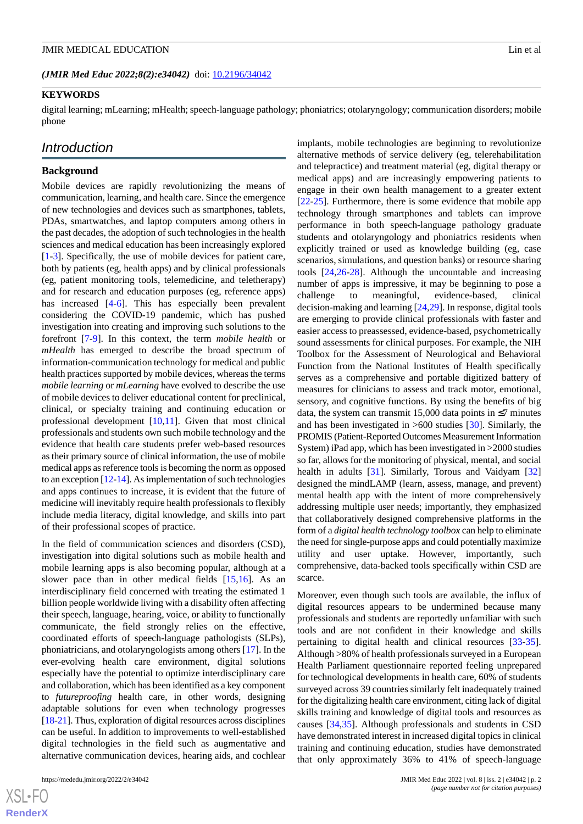(JMIR Med Educ 2022;8(2):e34042) doi: [10.2196/34042](http://dx.doi.org/10.2196/34042)

#### **KEYWORDS**

digital learning; mLearning; mHealth; speech-language pathology; phoniatrics; otolaryngology; communication disorders; mobile phone

## *Introduction*

## **Background**

Mobile devices are rapidly revolutionizing the means of communication, learning, and health care. Since the emergence of new technologies and devices such as smartphones, tablets, PDAs, smartwatches, and laptop computers among others in the past decades, the adoption of such technologies in the health sciences and medical education has been increasingly explored [[1](#page-11-0)[-3](#page-12-0)]. Specifically, the use of mobile devices for patient care, both by patients (eg, health apps) and by clinical professionals (eg, patient monitoring tools, telemedicine, and teletherapy) and for research and education purposes (eg, reference apps) has increased [[4](#page-12-1)[-6](#page-12-2)]. This has especially been prevalent considering the COVID-19 pandemic, which has pushed investigation into creating and improving such solutions to the forefront [\[7](#page-12-3)-[9\]](#page-12-4). In this context, the term *mobile health* or *mHealth* has emerged to describe the broad spectrum of information-communication technology for medical and public health practices supported by mobile devices, whereas the terms *mobile learning* or *mLearning* have evolved to describe the use of mobile devices to deliver educational content for preclinical, clinical, or specialty training and continuing education or professional development [[10](#page-12-5)[,11](#page-12-6)]. Given that most clinical professionals and students own such mobile technology and the evidence that health care students prefer web-based resources as their primary source of clinical information, the use of mobile medical apps as reference tools is becoming the norm as opposed to an exception [\[12](#page-12-7)[-14\]](#page-12-8). As implementation of such technologies and apps continues to increase, it is evident that the future of medicine will inevitably require health professionals to flexibly include media literacy, digital knowledge, and skills into part of their professional scopes of practice.

In the field of communication sciences and disorders (CSD), investigation into digital solutions such as mobile health and mobile learning apps is also becoming popular, although at a slower pace than in other medical fields [[15,](#page-12-9)[16\]](#page-12-10). As an interdisciplinary field concerned with treating the estimated 1 billion people worldwide living with a disability often affecting their speech, language, hearing, voice, or ability to functionally communicate, the field strongly relies on the effective, coordinated efforts of speech-language pathologists (SLPs), phoniatricians, and otolaryngologists among others [\[17](#page-12-11)]. In the ever-evolving health care environment, digital solutions especially have the potential to optimize interdisciplinary care and collaboration, which has been identified as a key component to *futureproofing* health care, in other words, designing adaptable solutions for even when technology progresses [[18-](#page-12-12)[21\]](#page-12-13). Thus, exploration of digital resources across disciplines can be useful. In addition to improvements to well-established digital technologies in the field such as augmentative and alternative communication devices, hearing aids, and cochlear

implants, mobile technologies are beginning to revolutionize alternative methods of service delivery (eg, telerehabilitation and telepractice) and treatment material (eg, digital therapy or medical apps) and are increasingly empowering patients to engage in their own health management to a greater extent [[22](#page-12-14)[-25](#page-12-15)]. Furthermore, there is some evidence that mobile app technology through smartphones and tablets can improve performance in both speech-language pathology graduate students and otolaryngology and phoniatrics residents when explicitly trained or used as knowledge building (eg, case scenarios, simulations, and question banks) or resource sharing tools [[24,](#page-12-16)[26](#page-12-17)[-28](#page-12-18)]. Although the uncountable and increasing number of apps is impressive, it may be beginning to pose a challenge to meaningful, evidence-based, clinical decision-making and learning [\[24](#page-12-16),[29\]](#page-13-0). In response, digital tools are emerging to provide clinical professionals with faster and easier access to preassessed, evidence-based, psychometrically sound assessments for clinical purposes. For example, the NIH Toolbox for the Assessment of Neurological and Behavioral Function from the National Institutes of Health specifically serves as a comprehensive and portable digitized battery of measures for clinicians to assess and track motor, emotional, sensory, and cognitive functions. By using the benefits of big data, the system can transmit 15,000 data points in  $\leq$ 7 minutes and has been investigated in  $>600$  studies [\[30](#page-13-1)]. Similarly, the PROMIS (Patient-Reported Outcomes Measurement Information System) iPad app, which has been investigated in >2000 studies so far, allows for the monitoring of physical, mental, and social health in adults [\[31](#page-13-2)]. Similarly, Torous and Vaidyam [\[32](#page-13-3)] designed the mindLAMP (learn, assess, manage, and prevent) mental health app with the intent of more comprehensively addressing multiple user needs; importantly, they emphasized that collaboratively designed comprehensive platforms in the form of a *digital health technology toolbox* can help to eliminate the need for single-purpose apps and could potentially maximize utility and user uptake. However, importantly, such comprehensive, data-backed tools specifically within CSD are scarce.

Moreover, even though such tools are available, the influx of digital resources appears to be undermined because many professionals and students are reportedly unfamiliar with such tools and are not confident in their knowledge and skills pertaining to digital health and clinical resources [[33-](#page-13-4)[35\]](#page-13-5). Although >80% of health professionals surveyed in a European Health Parliament questionnaire reported feeling unprepared for technological developments in health care, 60% of students surveyed across 39 countries similarly felt inadequately trained for the digitalizing health care environment, citing lack of digital skills training and knowledge of digital tools and resources as causes [[34](#page-13-6)[,35](#page-13-5)]. Although professionals and students in CSD have demonstrated interest in increased digital topics in clinical training and continuing education, studies have demonstrated that only approximately 36% to 41% of speech-language

 $XSI - F($ **[RenderX](http://www.renderx.com/)**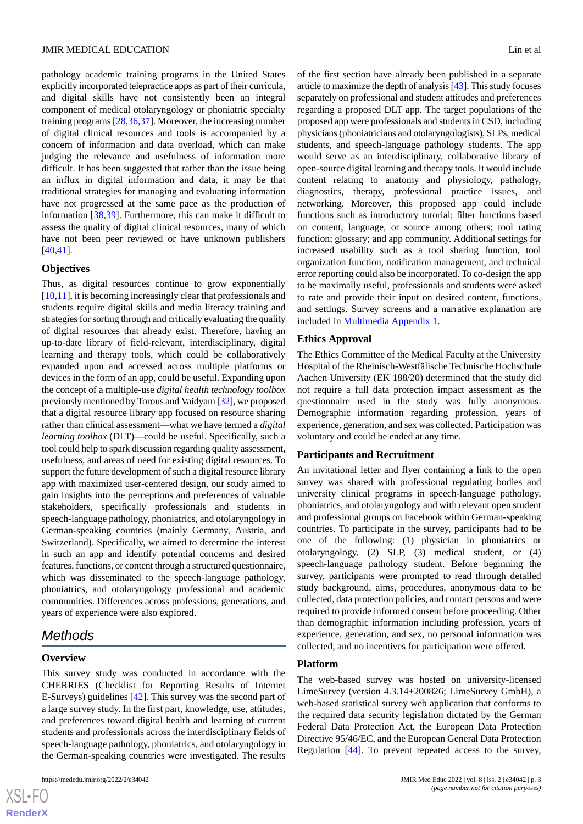pathology academic training programs in the United States explicitly incorporated telepractice apps as part of their curricula, and digital skills have not consistently been an integral component of medical otolaryngology or phoniatric specialty training programs [\[28](#page-12-18),[36](#page-13-7)[,37](#page-13-8)]. Moreover, the increasing number of digital clinical resources and tools is accompanied by a concern of information and data overload, which can make judging the relevance and usefulness of information more difficult. It has been suggested that rather than the issue being an influx in digital information and data, it may be that traditional strategies for managing and evaluating information have not progressed at the same pace as the production of information [[38](#page-13-9)[,39](#page-13-10)]. Furthermore, this can make it difficult to assess the quality of digital clinical resources, many of which have not been peer reviewed or have unknown publishers [[40](#page-13-11)[,41](#page-13-12)].

## **Objectives**

Thus, as digital resources continue to grow exponentially [[10](#page-12-5)[,11](#page-12-6)], it is becoming increasingly clear that professionals and students require digital skills and media literacy training and strategies for sorting through and critically evaluating the quality of digital resources that already exist. Therefore, having an up-to-date library of field-relevant, interdisciplinary, digital learning and therapy tools, which could be collaboratively expanded upon and accessed across multiple platforms or devices in the form of an app, could be useful. Expanding upon the concept of a multiple-use *digital health technology toolbox* previously mentioned by Torous and Vaidyam [\[32\]](#page-13-3), we proposed that a digital resource library app focused on resource sharing rather than clinical assessment—what we have termed a *digital learning toolbox* (DLT)—could be useful. Specifically, such a tool could help to spark discussion regarding quality assessment, usefulness, and areas of need for existing digital resources. To support the future development of such a digital resource library app with maximized user-centered design, our study aimed to gain insights into the perceptions and preferences of valuable stakeholders, specifically professionals and students in speech-language pathology, phoniatrics, and otolaryngology in German-speaking countries (mainly Germany, Austria, and Switzerland). Specifically, we aimed to determine the interest in such an app and identify potential concerns and desired features, functions, or content through a structured questionnaire, which was disseminated to the speech-language pathology, phoniatrics, and otolaryngology professional and academic communities. Differences across professions, generations, and years of experience were also explored.

# *Methods*

#### **Overview**

 $XS$ -FO **[RenderX](http://www.renderx.com/)**

This survey study was conducted in accordance with the CHERRIES (Checklist for Reporting Results of Internet E-Surveys) guidelines [\[42](#page-13-13)]. This survey was the second part of a large survey study. In the first part, knowledge, use, attitudes, and preferences toward digital health and learning of current students and professionals across the interdisciplinary fields of speech-language pathology, phoniatrics, and otolaryngology in the German-speaking countries were investigated. The results

of the first section have already been published in a separate article to maximize the depth of analysis [[43\]](#page-13-14). This study focuses separately on professional and student attitudes and preferences regarding a proposed DLT app. The target populations of the proposed app were professionals and students in CSD, including physicians (phoniatricians and otolaryngologists), SLPs, medical students, and speech-language pathology students. The app would serve as an interdisciplinary, collaborative library of open-source digital learning and therapy tools. It would include content relating to anatomy and physiology, pathology, diagnostics, therapy, professional practice issues, and networking. Moreover, this proposed app could include functions such as introductory tutorial; filter functions based on content, language, or source among others; tool rating function; glossary; and app community. Additional settings for increased usability such as a tool sharing function, tool organization function, notification management, and technical error reporting could also be incorporated. To co-design the app to be maximally useful, professionals and students were asked to rate and provide their input on desired content, functions, and settings. Survey screens and a narrative explanation are included in [Multimedia Appendix 1.](#page-11-1)

#### **Ethics Approval**

The Ethics Committee of the Medical Faculty at the University Hospital of the Rheinisch-Westfälische Technische Hochschule Aachen University (EK 188/20) determined that the study did not require a full data protection impact assessment as the questionnaire used in the study was fully anonymous. Demographic information regarding profession, years of experience, generation, and sex was collected. Participation was voluntary and could be ended at any time.

#### **Participants and Recruitment**

An invitational letter and flyer containing a link to the open survey was shared with professional regulating bodies and university clinical programs in speech-language pathology, phoniatrics, and otolaryngology and with relevant open student and professional groups on Facebook within German-speaking countries. To participate in the survey, participants had to be one of the following: (1) physician in phoniatrics or otolaryngology, (2) SLP, (3) medical student, or (4) speech-language pathology student. Before beginning the survey, participants were prompted to read through detailed study background, aims, procedures, anonymous data to be collected, data protection policies, and contact persons and were required to provide informed consent before proceeding. Other than demographic information including profession, years of experience, generation, and sex, no personal information was collected, and no incentives for participation were offered.

## **Platform**

The web-based survey was hosted on university-licensed LimeSurvey (version 4.3.14+200826; LimeSurvey GmbH), a web-based statistical survey web application that conforms to the required data security legislation dictated by the German Federal Data Protection Act, the European Data Protection Directive 95/46/EC, and the European General Data Protection Regulation [[44\]](#page-13-15). To prevent repeated access to the survey,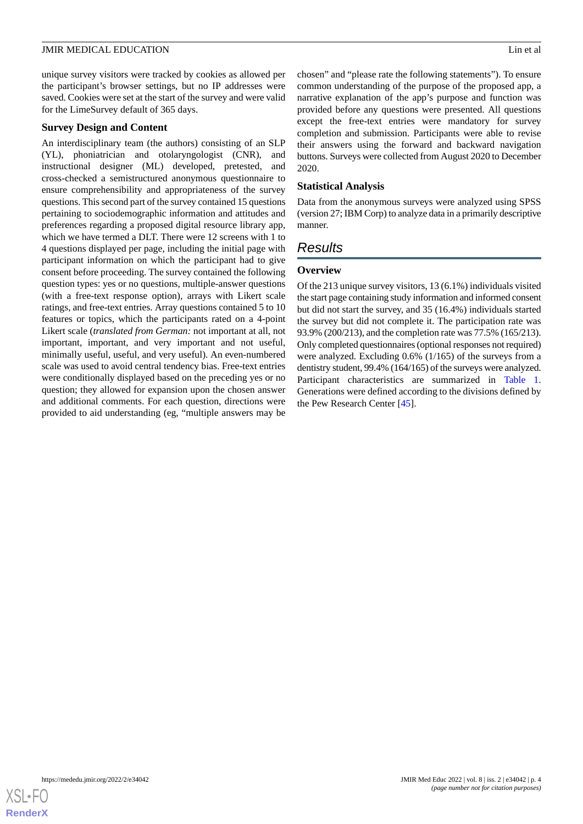unique survey visitors were tracked by cookies as allowed per the participant's browser settings, but no IP addresses were saved. Cookies were set at the start of the survey and were valid for the LimeSurvey default of 365 days.

## **Survey Design and Content**

An interdisciplinary team (the authors) consisting of an SLP (YL), phoniatrician and otolaryngologist (CNR), and instructional designer (ML) developed, pretested, and cross-checked a semistructured anonymous questionnaire to ensure comprehensibility and appropriateness of the survey questions. This second part of the survey contained 15 questions pertaining to sociodemographic information and attitudes and preferences regarding a proposed digital resource library app, which we have termed a DLT. There were 12 screens with 1 to 4 questions displayed per page, including the initial page with participant information on which the participant had to give consent before proceeding. The survey contained the following question types: yes or no questions, multiple-answer questions (with a free-text response option), arrays with Likert scale ratings, and free-text entries. Array questions contained 5 to 10 features or topics, which the participants rated on a 4-point Likert scale (*translated from German:* not important at all, not important, important, and very important and not useful, minimally useful, useful, and very useful). An even-numbered scale was used to avoid central tendency bias. Free-text entries were conditionally displayed based on the preceding yes or no question; they allowed for expansion upon the chosen answer and additional comments. For each question, directions were provided to aid understanding (eg, "multiple answers may be

chosen" and "please rate the following statements"). To ensure common understanding of the purpose of the proposed app, a narrative explanation of the app's purpose and function was provided before any questions were presented. All questions except the free-text entries were mandatory for survey completion and submission. Participants were able to revise their answers using the forward and backward navigation buttons. Surveys were collected from August 2020 to December 2020.

## **Statistical Analysis**

Data from the anonymous surveys were analyzed using SPSS (version 27; IBM Corp) to analyze data in a primarily descriptive manner.

# *Results*

## **Overview**

Of the 213 unique survey visitors, 13 (6.1%) individuals visited the start page containing study information and informed consent but did not start the survey, and 35 (16.4%) individuals started the survey but did not complete it. The participation rate was 93.9% (200/213), and the completion rate was 77.5% (165/213). Only completed questionnaires (optional responses not required) were analyzed. Excluding 0.6% (1/165) of the surveys from a dentistry student, 99.4% (164/165) of the surveys were analyzed. Participant characteristics are summarized in [Table 1](#page-4-0). Generations were defined according to the divisions defined by the Pew Research Center [[45\]](#page-13-16).

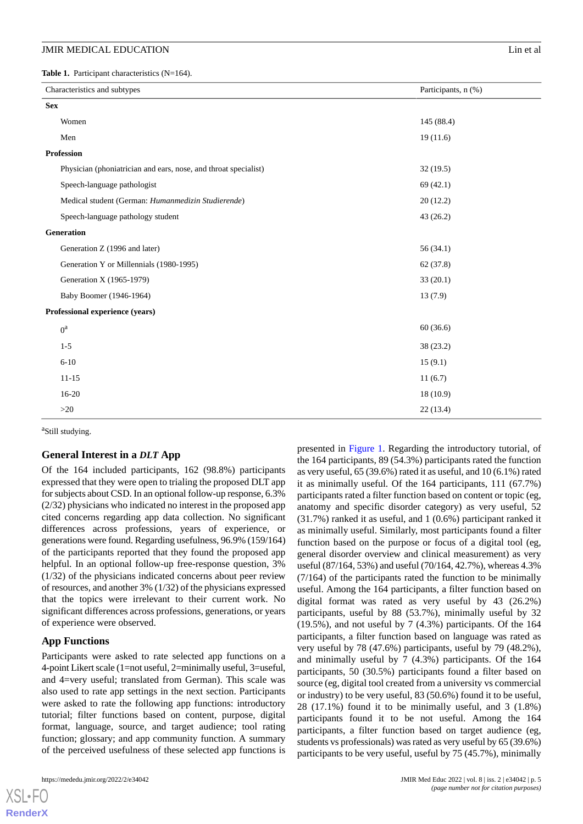<span id="page-4-0"></span>Table 1. Participant characteristics (N=164).

| Characteristics and subtypes                                    | Participants, n (%) |
|-----------------------------------------------------------------|---------------------|
| <b>Sex</b>                                                      |                     |
| Women                                                           | 145 (88.4)          |
| Men                                                             | 19(11.6)            |
| <b>Profession</b>                                               |                     |
| Physician (phoniatrician and ears, nose, and throat specialist) | 32(19.5)            |
| Speech-language pathologist                                     | 69(42.1)            |
| Medical student (German: Humanmedizin Studierende)              | 20(12.2)            |
| Speech-language pathology student                               | 43(26.2)            |
| Generation                                                      |                     |
| Generation Z (1996 and later)                                   | 56(34.1)            |
| Generation Y or Millennials (1980-1995)                         | 62(37.8)            |
| Generation X (1965-1979)                                        | 33(20.1)            |
| Baby Boomer (1946-1964)                                         | 13(7.9)             |
| Professional experience (years)                                 |                     |
| $0^a$                                                           | 60(36.6)            |
| $1-5$                                                           | 38 (23.2)           |
| $6 - 10$                                                        | 15(9.1)             |
| $11 - 15$                                                       | 11(6.7)             |
| $16-20$                                                         | 18(10.9)            |
| >20                                                             | 22(13.4)            |

<sup>a</sup>Still studying.

#### **General Interest in a** *DLT* **App**

Of the 164 included participants, 162 (98.8%) participants expressed that they were open to trialing the proposed DLT app for subjects about CSD. In an optional follow-up response, 6.3% (2/32) physicians who indicated no interest in the proposed app cited concerns regarding app data collection. No significant differences across professions, years of experience, or generations were found. Regarding usefulness, 96.9% (159/164) of the participants reported that they found the proposed app helpful. In an optional follow-up free-response question, 3% (1/32) of the physicians indicated concerns about peer review of resources, and another 3% (1/32) of the physicians expressed that the topics were irrelevant to their current work. No significant differences across professions, generations, or years of experience were observed.

#### **App Functions**

Participants were asked to rate selected app functions on a 4-point Likert scale (1=not useful, 2=minimally useful, 3=useful, and 4=very useful; translated from German). This scale was also used to rate app settings in the next section. Participants were asked to rate the following app functions: introductory tutorial; filter functions based on content, purpose, digital format, language, source, and target audience; tool rating function; glossary; and app community function. A summary of the perceived usefulness of these selected app functions is

[XSL](http://www.w3.org/Style/XSL)•FO **[RenderX](http://www.renderx.com/)**

presented in [Figure 1.](#page-5-0) Regarding the introductory tutorial, of the 164 participants, 89 (54.3%) participants rated the function as very useful, 65 (39.6%) rated it as useful, and 10 (6.1%) rated it as minimally useful. Of the 164 participants, 111 (67.7%) participants rated a filter function based on content or topic (eg, anatomy and specific disorder category) as very useful, 52 (31.7%) ranked it as useful, and 1 (0.6%) participant ranked it as minimally useful. Similarly, most participants found a filter function based on the purpose or focus of a digital tool (eg, general disorder overview and clinical measurement) as very useful (87/164, 53%) and useful (70/164, 42.7%), whereas 4.3% (7/164) of the participants rated the function to be minimally useful. Among the 164 participants, a filter function based on digital format was rated as very useful by 43 (26.2%) participants, useful by 88 (53.7%), minimally useful by 32 (19.5%), and not useful by 7 (4.3%) participants. Of the 164 participants, a filter function based on language was rated as very useful by 78 (47.6%) participants, useful by 79 (48.2%), and minimally useful by 7 (4.3%) participants. Of the 164 participants, 50 (30.5%) participants found a filter based on source (eg, digital tool created from a university vs commercial or industry) to be very useful, 83 (50.6%) found it to be useful, 28 (17.1%) found it to be minimally useful, and 3 (1.8%) participants found it to be not useful. Among the 164 participants, a filter function based on target audience (eg, students vs professionals) was rated as very useful by 65 (39.6%) participants to be very useful, useful by 75 (45.7%), minimally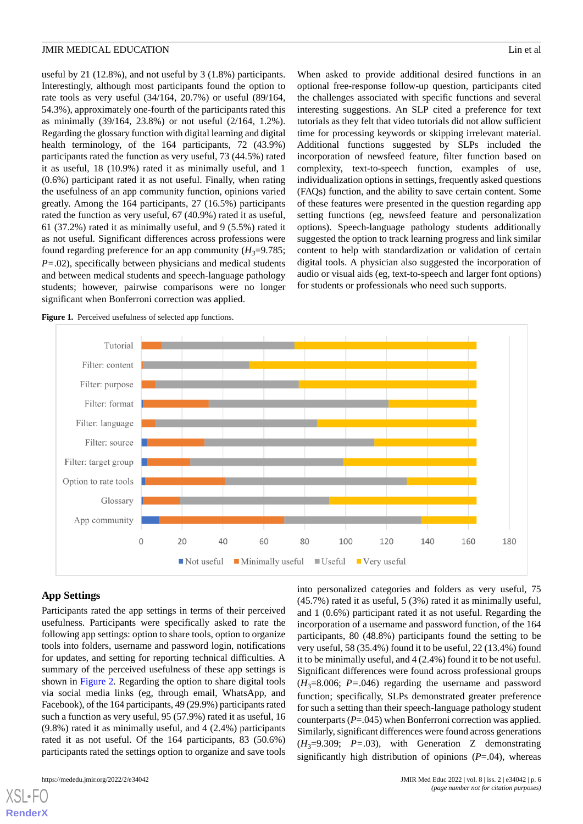useful by 21 (12.8%), and not useful by 3 (1.8%) participants. Interestingly, although most participants found the option to rate tools as very useful (34/164, 20.7%) or useful (89/164, 54.3%), approximately one-fourth of the participants rated this as minimally (39/164, 23.8%) or not useful (2/164, 1.2%). Regarding the glossary function with digital learning and digital health terminology, of the 164 participants, 72 (43.9%) participants rated the function as very useful, 73 (44.5%) rated it as useful, 18 (10.9%) rated it as minimally useful, and 1 (0.6%) participant rated it as not useful. Finally, when rating the usefulness of an app community function, opinions varied greatly. Among the 164 participants, 27 (16.5%) participants rated the function as very useful, 67 (40.9%) rated it as useful, 61 (37.2%) rated it as minimally useful, and 9 (5.5%) rated it as not useful. Significant differences across professions were found regarding preference for an app community  $(H_3=9.785)$ ; *P*=.02), specifically between physicians and medical students and between medical students and speech-language pathology students; however, pairwise comparisons were no longer significant when Bonferroni correction was applied.

When asked to provide additional desired functions in an optional free-response follow-up question, participants cited the challenges associated with specific functions and several interesting suggestions. An SLP cited a preference for text tutorials as they felt that video tutorials did not allow sufficient time for processing keywords or skipping irrelevant material. Additional functions suggested by SLPs included the incorporation of newsfeed feature, filter function based on complexity, text-to-speech function, examples of use, individualization options in settings, frequently asked questions (FAQs) function, and the ability to save certain content. Some of these features were presented in the question regarding app setting functions (eg, newsfeed feature and personalization options). Speech-language pathology students additionally suggested the option to track learning progress and link similar content to help with standardization or validation of certain digital tools. A physician also suggested the incorporation of audio or visual aids (eg, text-to-speech and larger font options) for students or professionals who need such supports.

<span id="page-5-0"></span>Figure 1. Perceived usefulness of selected app functions.



## **App Settings**

Participants rated the app settings in terms of their perceived usefulness. Participants were specifically asked to rate the following app settings: option to share tools, option to organize tools into folders, username and password login, notifications for updates, and setting for reporting technical difficulties. A summary of the perceived usefulness of these app settings is shown in [Figure 2.](#page-6-0) Regarding the option to share digital tools via social media links (eg, through email, WhatsApp, and Facebook), of the 164 participants, 49 (29.9%) participants rated such a function as very useful, 95 (57.9%) rated it as useful, 16 (9.8%) rated it as minimally useful, and 4 (2.4%) participants rated it as not useful. Of the 164 participants, 83 (50.6%) participants rated the settings option to organize and save tools

[XSL](http://www.w3.org/Style/XSL)•FO **[RenderX](http://www.renderx.com/)**

into personalized categories and folders as very useful, 75 (45.7%) rated it as useful, 5 (3%) rated it as minimally useful, and 1 (0.6%) participant rated it as not useful. Regarding the incorporation of a username and password function, of the 164 participants, 80 (48.8%) participants found the setting to be very useful, 58 (35.4%) found it to be useful, 22 (13.4%) found it to be minimally useful, and 4 (2.4%) found it to be not useful. Significant differences were found across professional groups  $(H_3=8.006; P=.046)$  regarding the username and password function; specifically, SLPs demonstrated greater preference for such a setting than their speech-language pathology student counterparts (*P*=.045) when Bonferroni correction was applied. Similarly, significant differences were found across generations  $(H_3=9.309; P=.03)$ , with Generation Z demonstrating significantly high distribution of opinions (*P*=.04), whereas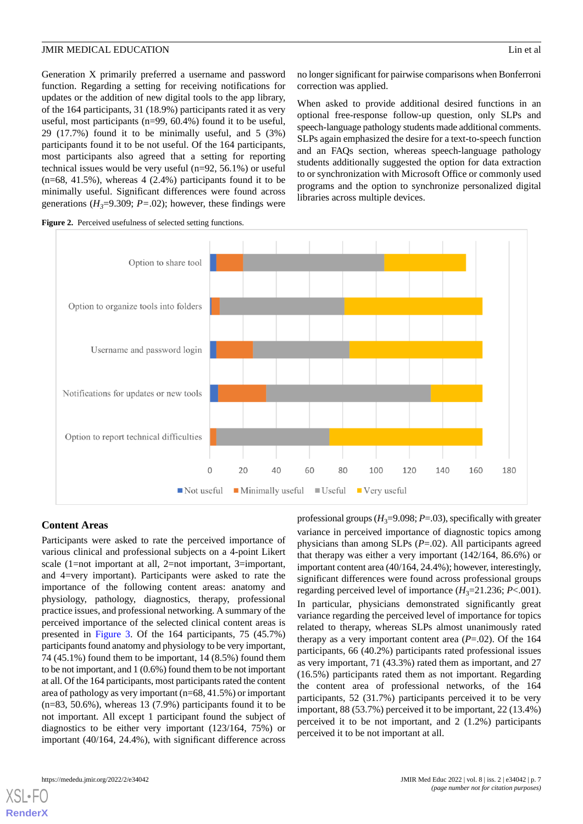Generation X primarily preferred a username and password function. Regarding a setting for receiving notifications for updates or the addition of new digital tools to the app library, of the 164 participants, 31 (18.9%) participants rated it as very useful, most participants (n=99, 60.4%) found it to be useful, 29 (17.7%) found it to be minimally useful, and 5 (3%) participants found it to be not useful. Of the 164 participants, most participants also agreed that a setting for reporting technical issues would be very useful (n=92, 56.1%) or useful  $(n=68, 41.5\%)$ , whereas  $4(2.4\%)$  participants found it to be minimally useful. Significant differences were found across generations ( $H_3$ =9.309;  $P$ =.02); however, these findings were

no longer significant for pairwise comparisons when Bonferroni correction was applied.

When asked to provide additional desired functions in an optional free-response follow-up question, only SLPs and speech-language pathology students made additional comments. SLPs again emphasized the desire for a text-to-speech function and an FAQs section, whereas speech-language pathology students additionally suggested the option for data extraction to or synchronization with Microsoft Office or commonly used programs and the option to synchronize personalized digital libraries across multiple devices.



## <span id="page-6-0"></span>**Figure 2.** Perceived usefulness of selected setting functions.

# **Content Areas**

Participants were asked to rate the perceived importance of various clinical and professional subjects on a 4-point Likert scale (1=not important at all, 2=not important, 3=important, and 4=very important). Participants were asked to rate the importance of the following content areas: anatomy and physiology, pathology, diagnostics, therapy, professional practice issues, and professional networking. A summary of the perceived importance of the selected clinical content areas is presented in [Figure 3](#page-7-0). Of the 164 participants, 75 (45.7%) participants found anatomy and physiology to be very important, 74 (45.1%) found them to be important, 14 (8.5%) found them to be not important, and 1 (0.6%) found them to be not important at all. Of the 164 participants, most participants rated the content area of pathology as very important (n=68, 41.5%) or important  $(n=83, 50.6\%)$ , whereas 13 (7.9%) participants found it to be not important. All except 1 participant found the subject of diagnostics to be either very important (123/164, 75%) or important (40/164, 24.4%), with significant difference across

professional groups  $(H_3=9.098; P=.03)$ , specifically with greater variance in perceived importance of diagnostic topics among physicians than among SLPs (*P*=.02). All participants agreed that therapy was either a very important (142/164, 86.6%) or important content area (40/164, 24.4%); however, interestingly, significant differences were found across professional groups regarding perceived level of importance  $(H_3=21.236; P<.001)$ . In particular, physicians demonstrated significantly great variance regarding the perceived level of importance for topics related to therapy, whereas SLPs almost unanimously rated therapy as a very important content area  $(P=.02)$ . Of the 164 participants, 66 (40.2%) participants rated professional issues as very important, 71 (43.3%) rated them as important, and 27 (16.5%) participants rated them as not important. Regarding the content area of professional networks, of the 164 participants, 52 (31.7%) participants perceived it to be very important, 88 (53.7%) perceived it to be important, 22 (13.4%) perceived it to be not important, and 2 (1.2%) participants perceived it to be not important at all.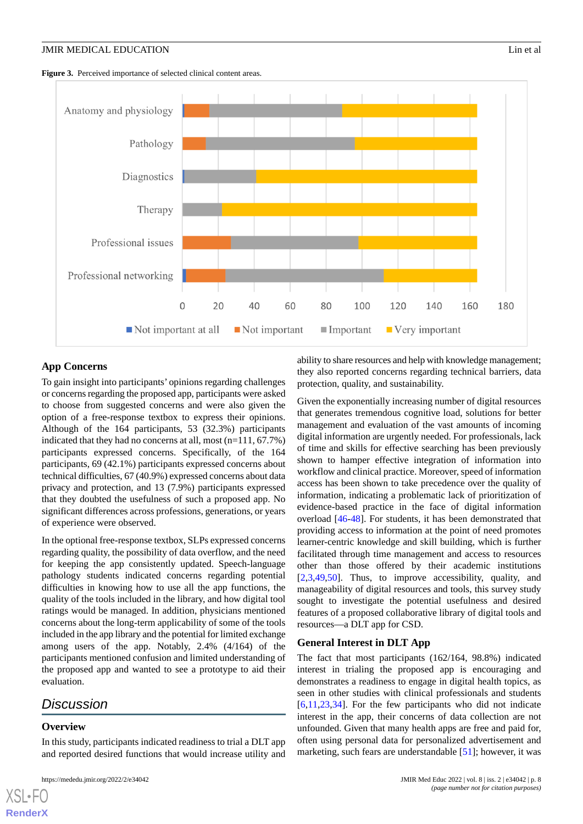<span id="page-7-0"></span>Figure 3. Perceived importance of selected clinical content areas.



## **App Concerns**

To gain insight into participants' opinions regarding challenges or concerns regarding the proposed app, participants were asked to choose from suggested concerns and were also given the option of a free-response textbox to express their opinions. Although of the 164 participants, 53 (32.3%) participants indicated that they had no concerns at all, most (n=111, 67.7%) participants expressed concerns. Specifically, of the 164 participants, 69 (42.1%) participants expressed concerns about technical difficulties, 67 (40.9%) expressed concerns about data privacy and protection, and 13 (7.9%) participants expressed that they doubted the usefulness of such a proposed app. No significant differences across professions, generations, or years of experience were observed.

In the optional free-response textbox, SLPs expressed concerns regarding quality, the possibility of data overflow, and the need for keeping the app consistently updated. Speech-language pathology students indicated concerns regarding potential difficulties in knowing how to use all the app functions, the quality of the tools included in the library, and how digital tool ratings would be managed. In addition, physicians mentioned concerns about the long-term applicability of some of the tools included in the app library and the potential for limited exchange among users of the app. Notably, 2.4% (4/164) of the participants mentioned confusion and limited understanding of the proposed app and wanted to see a prototype to aid their evaluation.

# *Discussion*

## **Overview**

[XSL](http://www.w3.org/Style/XSL)•FO **[RenderX](http://www.renderx.com/)**

In this study, participants indicated readiness to trial a DLT app and reported desired functions that would increase utility and

ability to share resources and help with knowledge management; they also reported concerns regarding technical barriers, data protection, quality, and sustainability.

Given the exponentially increasing number of digital resources that generates tremendous cognitive load, solutions for better management and evaluation of the vast amounts of incoming digital information are urgently needed. For professionals, lack of time and skills for effective searching has been previously shown to hamper effective integration of information into workflow and clinical practice. Moreover, speed of information access has been shown to take precedence over the quality of information, indicating a problematic lack of prioritization of evidence-based practice in the face of digital information overload [[46](#page-13-17)[-48](#page-13-18)]. For students, it has been demonstrated that providing access to information at the point of need promotes learner-centric knowledge and skill building, which is further facilitated through time management and access to resources other than those offered by their academic institutions [[2](#page-11-2)[,3,](#page-12-0)[49](#page-13-19)[,50](#page-13-20)]. Thus, to improve accessibility, quality, and manageability of digital resources and tools, this survey study sought to investigate the potential usefulness and desired features of a proposed collaborative library of digital tools and resources—a DLT app for CSD.

#### **General Interest in DLT App**

The fact that most participants (162/164, 98.8%) indicated interest in trialing the proposed app is encouraging and demonstrates a readiness to engage in digital health topics, as seen in other studies with clinical professionals and students [[6](#page-12-2)[,11](#page-12-6),[23,](#page-12-19)[34\]](#page-13-6). For the few participants who did not indicate interest in the app, their concerns of data collection are not unfounded. Given that many health apps are free and paid for, often using personal data for personalized advertisement and marketing, such fears are understandable [\[51](#page-13-21)]; however, it was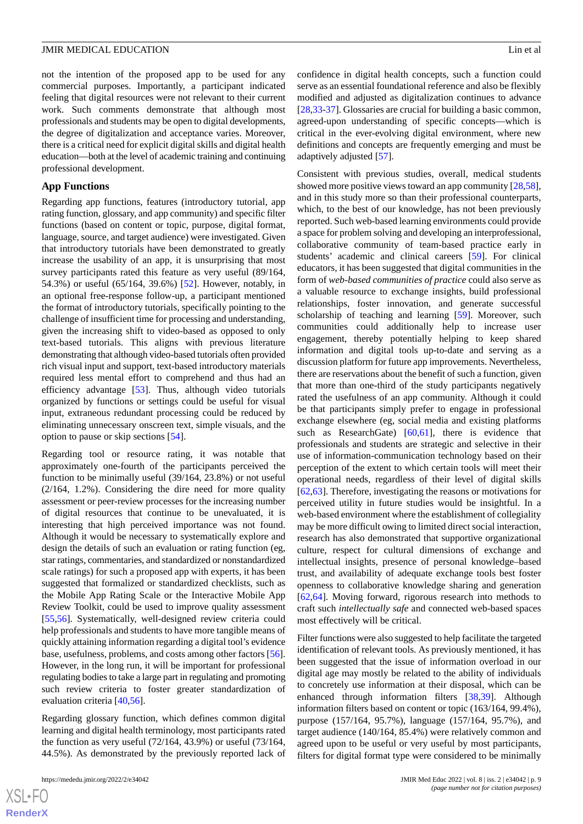not the intention of the proposed app to be used for any commercial purposes. Importantly, a participant indicated feeling that digital resources were not relevant to their current work. Such comments demonstrate that although most professionals and students may be open to digital developments, the degree of digitalization and acceptance varies. Moreover, there is a critical need for explicit digital skills and digital health education—both at the level of academic training and continuing professional development.

## **App Functions**

Regarding app functions, features (introductory tutorial, app rating function, glossary, and app community) and specific filter functions (based on content or topic, purpose, digital format, language, source, and target audience) were investigated. Given that introductory tutorials have been demonstrated to greatly increase the usability of an app, it is unsurprising that most survey participants rated this feature as very useful (89/164, 54.3%) or useful (65/164, 39.6%) [[52\]](#page-13-22). However, notably, in an optional free-response follow-up, a participant mentioned the format of introductory tutorials, specifically pointing to the challenge of insufficient time for processing and understanding, given the increasing shift to video-based as opposed to only text-based tutorials. This aligns with previous literature demonstrating that although video-based tutorials often provided rich visual input and support, text-based introductory materials required less mental effort to comprehend and thus had an efficiency advantage [\[53](#page-14-0)]. Thus, although video tutorials organized by functions or settings could be useful for visual input, extraneous redundant processing could be reduced by eliminating unnecessary onscreen text, simple visuals, and the option to pause or skip sections [\[54](#page-14-1)].

Regarding tool or resource rating, it was notable that approximately one-fourth of the participants perceived the function to be minimally useful (39/164, 23.8%) or not useful (2/164, 1.2%). Considering the dire need for more quality assessment or peer-review processes for the increasing number of digital resources that continue to be unevaluated, it is interesting that high perceived importance was not found. Although it would be necessary to systematically explore and design the details of such an evaluation or rating function (eg, star ratings, commentaries, and standardized or nonstandardized scale ratings) for such a proposed app with experts, it has been suggested that formalized or standardized checklists, such as the Mobile App Rating Scale or the Interactive Mobile App Review Toolkit, could be used to improve quality assessment [[55](#page-14-2)[,56](#page-14-3)]. Systematically, well-designed review criteria could help professionals and students to have more tangible means of quickly attaining information regarding a digital tool's evidence base, usefulness, problems, and costs among other factors [[56\]](#page-14-3). However, in the long run, it will be important for professional regulating bodies to take a large part in regulating and promoting such review criteria to foster greater standardization of evaluation criteria [\[40](#page-13-11),[56\]](#page-14-3).

Regarding glossary function, which defines common digital learning and digital health terminology, most participants rated the function as very useful (72/164, 43.9%) or useful (73/164, 44.5%). As demonstrated by the previously reported lack of

confidence in digital health concepts, such a function could serve as an essential foundational reference and also be flexibly modified and adjusted as digitalization continues to advance [[28,](#page-12-18)[33-](#page-13-4)[37\]](#page-13-8). Glossaries are crucial for building a basic common, agreed-upon understanding of specific concepts—which is critical in the ever-evolving digital environment, where new definitions and concepts are frequently emerging and must be adaptively adjusted [[57\]](#page-14-4).

Consistent with previous studies, overall, medical students showed more positive views toward an app community [\[28](#page-12-18),[58\]](#page-14-5), and in this study more so than their professional counterparts, which, to the best of our knowledge, has not been previously reported. Such web-based learning environments could provide a space for problem solving and developing an interprofessional, collaborative community of team-based practice early in students' academic and clinical careers [[59\]](#page-14-6). For clinical educators, it has been suggested that digital communities in the form of *web-based communities of practice* could also serve as a valuable resource to exchange insights, build professional relationships, foster innovation, and generate successful scholarship of teaching and learning [\[59](#page-14-6)]. Moreover, such communities could additionally help to increase user engagement, thereby potentially helping to keep shared information and digital tools up-to-date and serving as a discussion platform for future app improvements. Nevertheless, there are reservations about the benefit of such a function, given that more than one-third of the study participants negatively rated the usefulness of an app community. Although it could be that participants simply prefer to engage in professional exchange elsewhere (eg, social media and existing platforms such as ResearchGate) [\[60](#page-14-7),[61\]](#page-14-8), there is evidence that professionals and students are strategic and selective in their use of information-communication technology based on their perception of the extent to which certain tools will meet their operational needs, regardless of their level of digital skills [[62,](#page-14-9)[63\]](#page-14-10). Therefore, investigating the reasons or motivations for perceived utility in future studies would be insightful. In a web-based environment where the establishment of collegiality may be more difficult owing to limited direct social interaction, research has also demonstrated that supportive organizational culture, respect for cultural dimensions of exchange and intellectual insights, presence of personal knowledge–based trust, and availability of adequate exchange tools best foster openness to collaborative knowledge sharing and generation [[62,](#page-14-9)[64\]](#page-14-11). Moving forward, rigorous research into methods to craft such *intellectually safe* and connected web-based spaces most effectively will be critical.

Filter functions were also suggested to help facilitate the targeted identification of relevant tools. As previously mentioned, it has been suggested that the issue of information overload in our digital age may mostly be related to the ability of individuals to concretely use information at their disposal, which can be enhanced through information filters [[38,](#page-13-9)[39](#page-13-10)]. Although information filters based on content or topic (163/164, 99.4%), purpose (157/164, 95.7%), language (157/164, 95.7%), and target audience (140/164, 85.4%) were relatively common and agreed upon to be useful or very useful by most participants, filters for digital format type were considered to be minimally

 $XS$ -FO **[RenderX](http://www.renderx.com/)**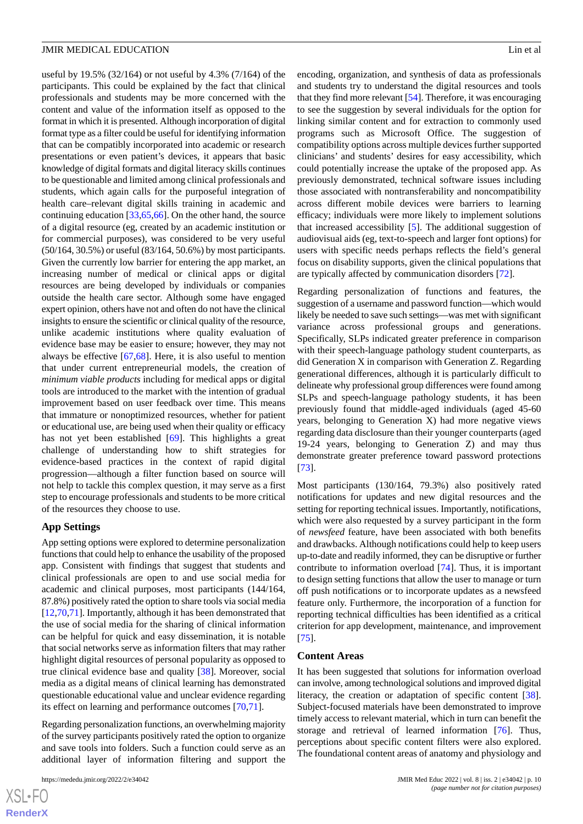useful by 19.5% (32/164) or not useful by 4.3% (7/164) of the participants. This could be explained by the fact that clinical professionals and students may be more concerned with the content and value of the information itself as opposed to the format in which it is presented. Although incorporation of digital format type as a filter could be useful for identifying information that can be compatibly incorporated into academic or research presentations or even patient's devices, it appears that basic knowledge of digital formats and digital literacy skills continues to be questionable and limited among clinical professionals and students, which again calls for the purposeful integration of health care–relevant digital skills training in academic and continuing education [\[33](#page-13-4)[,65](#page-14-12)[,66](#page-14-13)]. On the other hand, the source of a digital resource (eg, created by an academic institution or for commercial purposes), was considered to be very useful (50/164, 30.5%) or useful (83/164, 50.6%) by most participants. Given the currently low barrier for entering the app market, an increasing number of medical or clinical apps or digital resources are being developed by individuals or companies outside the health care sector. Although some have engaged expert opinion, others have not and often do not have the clinical insights to ensure the scientific or clinical quality of the resource, unlike academic institutions where quality evaluation of evidence base may be easier to ensure; however, they may not always be effective [\[67](#page-14-14),[68\]](#page-14-15). Here, it is also useful to mention that under current entrepreneurial models, the creation of *minimum viable products* including for medical apps or digital tools are introduced to the market with the intention of gradual improvement based on user feedback over time. This means that immature or nonoptimized resources, whether for patient or educational use, are being used when their quality or efficacy has not yet been established [\[69](#page-14-16)]. This highlights a great challenge of understanding how to shift strategies for evidence-based practices in the context of rapid digital progression—although a filter function based on source will not help to tackle this complex question, it may serve as a first step to encourage professionals and students to be more critical of the resources they choose to use.

#### **App Settings**

App setting options were explored to determine personalization functions that could help to enhance the usability of the proposed app. Consistent with findings that suggest that students and clinical professionals are open to and use social media for academic and clinical purposes, most participants (144/164, 87.8%) positively rated the option to share tools via social media [[12](#page-12-7)[,70](#page-14-17),[71\]](#page-14-18). Importantly, although it has been demonstrated that the use of social media for the sharing of clinical information can be helpful for quick and easy dissemination, it is notable that social networks serve as information filters that may rather highlight digital resources of personal popularity as opposed to true clinical evidence base and quality [[38\]](#page-13-9). Moreover, social media as a digital means of clinical learning has demonstrated questionable educational value and unclear evidence regarding its effect on learning and performance outcomes [\[70](#page-14-17),[71\]](#page-14-18).

Regarding personalization functions, an overwhelming majority of the survey participants positively rated the option to organize and save tools into folders. Such a function could serve as an additional layer of information filtering and support the

encoding, organization, and synthesis of data as professionals and students try to understand the digital resources and tools that they find more relevant [[54\]](#page-14-1). Therefore, it was encouraging to see the suggestion by several individuals for the option for linking similar content and for extraction to commonly used programs such as Microsoft Office. The suggestion of compatibility options across multiple devices further supported clinicians' and students' desires for easy accessibility, which could potentially increase the uptake of the proposed app. As previously demonstrated, technical software issues including those associated with nontransferability and noncompatibility across different mobile devices were barriers to learning efficacy; individuals were more likely to implement solutions that increased accessibility [\[5](#page-12-20)]. The additional suggestion of audiovisual aids (eg, text-to-speech and larger font options) for users with specific needs perhaps reflects the field's general focus on disability supports, given the clinical populations that are typically affected by communication disorders [\[72](#page-14-19)].

Regarding personalization of functions and features, the suggestion of a username and password function—which would likely be needed to save such settings—was met with significant variance across professional groups and generations. Specifically, SLPs indicated greater preference in comparison with their speech-language pathology student counterparts, as did Generation X in comparison with Generation Z. Regarding generational differences, although it is particularly difficult to delineate why professional group differences were found among SLPs and speech-language pathology students, it has been previously found that middle-aged individuals (aged 45-60 years, belonging to Generation X) had more negative views regarding data disclosure than their younger counterparts (aged 19-24 years, belonging to Generation Z) and may thus demonstrate greater preference toward password protections [[73\]](#page-14-20).

Most participants (130/164, 79.3%) also positively rated notifications for updates and new digital resources and the setting for reporting technical issues. Importantly, notifications, which were also requested by a survey participant in the form of *newsfeed* feature, have been associated with both benefits and drawbacks. Although notifications could help to keep users up-to-date and readily informed, they can be disruptive or further contribute to information overload [\[74](#page-14-21)]. Thus, it is important to design setting functions that allow the user to manage or turn off push notifications or to incorporate updates as a newsfeed feature only. Furthermore, the incorporation of a function for reporting technical difficulties has been identified as a critical criterion for app development, maintenance, and improvement [[75\]](#page-14-22).

#### **Content Areas**

It has been suggested that solutions for information overload can involve, among technological solutions and improved digital literacy, the creation or adaptation of specific content [[38\]](#page-13-9). Subject-focused materials have been demonstrated to improve timely access to relevant material, which in turn can benefit the storage and retrieval of learned information [[76\]](#page-14-23). Thus, perceptions about specific content filters were also explored. The foundational content areas of anatomy and physiology and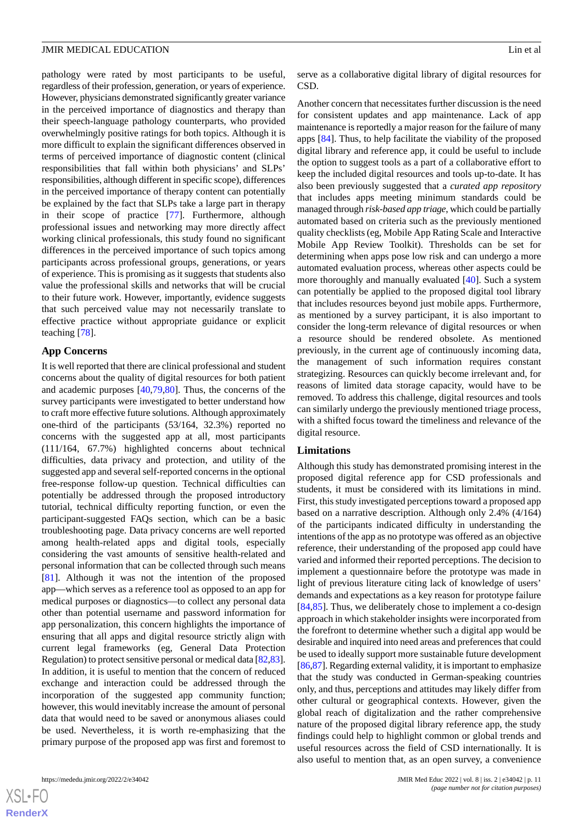pathology were rated by most participants to be useful, regardless of their profession, generation, or years of experience. However, physicians demonstrated significantly greater variance in the perceived importance of diagnostics and therapy than their speech-language pathology counterparts, who provided overwhelmingly positive ratings for both topics. Although it is more difficult to explain the significant differences observed in terms of perceived importance of diagnostic content (clinical responsibilities that fall within both physicians' and SLPs' responsibilities, although different in specific scope), differences in the perceived importance of therapy content can potentially be explained by the fact that SLPs take a large part in therapy in their scope of practice [\[77](#page-14-24)]. Furthermore, although professional issues and networking may more directly affect working clinical professionals, this study found no significant differences in the perceived importance of such topics among participants across professional groups, generations, or years of experience. This is promising as it suggests that students also value the professional skills and networks that will be crucial to their future work. However, importantly, evidence suggests that such perceived value may not necessarily translate to effective practice without appropriate guidance or explicit teaching [\[78](#page-14-25)].

## **App Concerns**

It is well reported that there are clinical professional and student concerns about the quality of digital resources for both patient and academic purposes [[40,](#page-13-11)[79](#page-15-0)[,80](#page-15-1)]. Thus, the concerns of the survey participants were investigated to better understand how to craft more effective future solutions. Although approximately one-third of the participants (53/164, 32.3%) reported no concerns with the suggested app at all, most participants (111/164, 67.7%) highlighted concerns about technical difficulties, data privacy and protection, and utility of the suggested app and several self-reported concerns in the optional free-response follow-up question. Technical difficulties can potentially be addressed through the proposed introductory tutorial, technical difficulty reporting function, or even the participant-suggested FAQs section, which can be a basic troubleshooting page. Data privacy concerns are well reported among health-related apps and digital tools, especially considering the vast amounts of sensitive health-related and personal information that can be collected through such means [[81\]](#page-15-2). Although it was not the intention of the proposed app—which serves as a reference tool as opposed to an app for medical purposes or diagnostics—to collect any personal data other than potential username and password information for app personalization, this concern highlights the importance of ensuring that all apps and digital resource strictly align with current legal frameworks (eg, General Data Protection Regulation) to protect sensitive personal or medical data [\[82,](#page-15-3)[83\]](#page-15-4). In addition, it is useful to mention that the concern of reduced exchange and interaction could be addressed through the incorporation of the suggested app community function; however, this would inevitably increase the amount of personal data that would need to be saved or anonymous aliases could be used. Nevertheless, it is worth re-emphasizing that the primary purpose of the proposed app was first and foremost to

serve as a collaborative digital library of digital resources for CSD.

Another concern that necessitates further discussion is the need for consistent updates and app maintenance. Lack of app maintenance is reportedly a major reason for the failure of many apps [[84\]](#page-15-5). Thus, to help facilitate the viability of the proposed digital library and reference app, it could be useful to include the option to suggest tools as a part of a collaborative effort to keep the included digital resources and tools up-to-date. It has also been previously suggested that a *curated app repository* that includes apps meeting minimum standards could be managed through *risk-based app triage*, which could be partially automated based on criteria such as the previously mentioned quality checklists (eg, Mobile App Rating Scale and Interactive Mobile App Review Toolkit). Thresholds can be set for determining when apps pose low risk and can undergo a more automated evaluation process, whereas other aspects could be more thoroughly and manually evaluated [[40\]](#page-13-11). Such a system can potentially be applied to the proposed digital tool library that includes resources beyond just mobile apps. Furthermore, as mentioned by a survey participant, it is also important to consider the long-term relevance of digital resources or when a resource should be rendered obsolete. As mentioned previously, in the current age of continuously incoming data, the management of such information requires constant strategizing. Resources can quickly become irrelevant and, for reasons of limited data storage capacity, would have to be removed. To address this challenge, digital resources and tools can similarly undergo the previously mentioned triage process, with a shifted focus toward the timeliness and relevance of the digital resource.

#### **Limitations**

Although this study has demonstrated promising interest in the proposed digital reference app for CSD professionals and students, it must be considered with its limitations in mind. First, this study investigated perceptions toward a proposed app based on a narrative description. Although only 2.4% (4/164) of the participants indicated difficulty in understanding the intentions of the app as no prototype was offered as an objective reference, their understanding of the proposed app could have varied and informed their reported perceptions. The decision to implement a questionnaire before the prototype was made in light of previous literature citing lack of knowledge of users' demands and expectations as a key reason for prototype failure [[84,](#page-15-5)[85\]](#page-15-6). Thus, we deliberately chose to implement a co-design approach in which stakeholder insights were incorporated from the forefront to determine whether such a digital app would be desirable and inquired into need areas and preferences that could be used to ideally support more sustainable future development [[86,](#page-15-7)[87\]](#page-15-8). Regarding external validity, it is important to emphasize that the study was conducted in German-speaking countries only, and thus, perceptions and attitudes may likely differ from other cultural or geographical contexts. However, given the global reach of digitalization and the rather comprehensive nature of the proposed digital library reference app, the study findings could help to highlight common or global trends and useful resources across the field of CSD internationally. It is also useful to mention that, as an open survey, a convenience

 $XS$ -FO **[RenderX](http://www.renderx.com/)**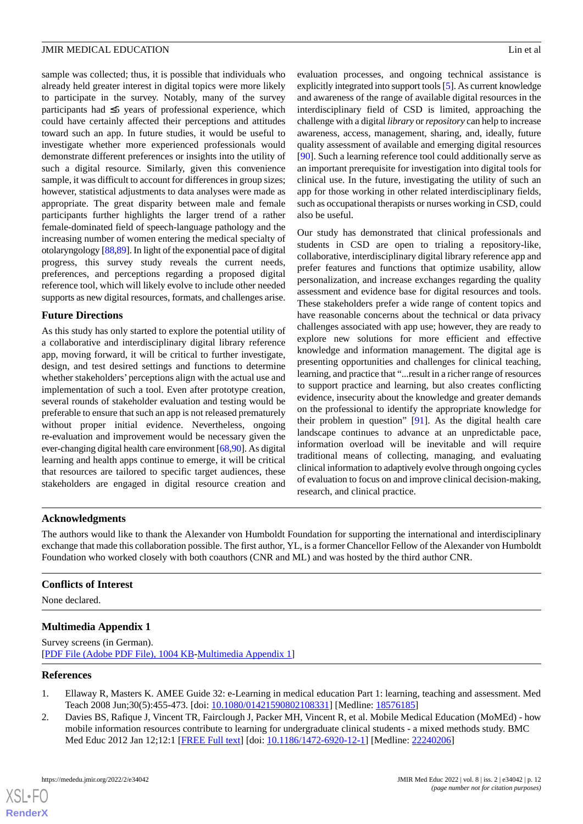sample was collected; thus, it is possible that individuals who already held greater interest in digital topics were more likely to participate in the survey. Notably, many of the survey participants had ≤5 years of professional experience, which could have certainly affected their perceptions and attitudes toward such an app. In future studies, it would be useful to investigate whether more experienced professionals would demonstrate different preferences or insights into the utility of such a digital resource. Similarly, given this convenience sample, it was difficult to account for differences in group sizes; however, statistical adjustments to data analyses were made as appropriate. The great disparity between male and female participants further highlights the larger trend of a rather female-dominated field of speech-language pathology and the increasing number of women entering the medical specialty of otolaryngology [\[88](#page-15-9)[,89](#page-15-10)]. In light of the exponential pace of digital progress, this survey study reveals the current needs, preferences, and perceptions regarding a proposed digital reference tool, which will likely evolve to include other needed supports as new digital resources, formats, and challenges arise.

## **Future Directions**

As this study has only started to explore the potential utility of a collaborative and interdisciplinary digital library reference app, moving forward, it will be critical to further investigate, design, and test desired settings and functions to determine whether stakeholders' perceptions align with the actual use and implementation of such a tool. Even after prototype creation, several rounds of stakeholder evaluation and testing would be preferable to ensure that such an app is not released prematurely without proper initial evidence. Nevertheless, ongoing re-evaluation and improvement would be necessary given the ever-changing digital health care environment [\[68](#page-14-15),[90](#page-15-11)]. As digital learning and health apps continue to emerge, it will be critical that resources are tailored to specific target audiences, these stakeholders are engaged in digital resource creation and

evaluation processes, and ongoing technical assistance is explicitly integrated into support tools [\[5](#page-12-20)]. As current knowledge and awareness of the range of available digital resources in the interdisciplinary field of CSD is limited, approaching the challenge with a digital *library* or *repository* can help to increase awareness, access, management, sharing, and, ideally, future quality assessment of available and emerging digital resources [[90\]](#page-15-11). Such a learning reference tool could additionally serve as an important prerequisite for investigation into digital tools for clinical use. In the future, investigating the utility of such an app for those working in other related interdisciplinary fields, such as occupational therapists or nurses working in CSD, could also be useful.

Our study has demonstrated that clinical professionals and students in CSD are open to trialing a repository-like, collaborative, interdisciplinary digital library reference app and prefer features and functions that optimize usability, allow personalization, and increase exchanges regarding the quality assessment and evidence base for digital resources and tools. These stakeholders prefer a wide range of content topics and have reasonable concerns about the technical or data privacy challenges associated with app use; however, they are ready to explore new solutions for more efficient and effective knowledge and information management. The digital age is presenting opportunities and challenges for clinical teaching, learning, and practice that "...result in a richer range of resources to support practice and learning, but also creates conflicting evidence, insecurity about the knowledge and greater demands on the professional to identify the appropriate knowledge for their problem in question" [[91\]](#page-15-12). As the digital health care landscape continues to advance at an unpredictable pace, information overload will be inevitable and will require traditional means of collecting, managing, and evaluating clinical information to adaptively evolve through ongoing cycles of evaluation to focus on and improve clinical decision-making, research, and clinical practice.

## **Acknowledgments**

The authors would like to thank the Alexander von Humboldt Foundation for supporting the international and interdisciplinary exchange that made this collaboration possible. The first author, YL, is a former Chancellor Fellow of the Alexander von Humboldt Foundation who worked closely with both coauthors (CNR and ML) and was hosted by the third author CNR.

## <span id="page-11-1"></span>**Conflicts of Interest**

None declared.

## <span id="page-11-0"></span>**Multimedia Appendix 1**

<span id="page-11-2"></span>Survey screens (in German). [[PDF File \(Adobe PDF File\), 1004 KB](https://jmir.org/api/download?alt_name=mededu_v8i2e34042_app1.pdf&filename=d2005c56c914b4fdf4232929ef8babcf.pdf)-[Multimedia Appendix 1\]](https://jmir.org/api/download?alt_name=mededu_v8i2e34042_app1.pdf&filename=d2005c56c914b4fdf4232929ef8babcf.pdf)

## **References**

- 1. Ellaway R, Masters K. AMEE Guide 32: e-Learning in medical education Part 1: learning, teaching and assessment. Med Teach 2008 Jun;30(5):455-473. [doi: [10.1080/01421590802108331](http://dx.doi.org/10.1080/01421590802108331)] [Medline: [18576185](http://www.ncbi.nlm.nih.gov/entrez/query.fcgi?cmd=Retrieve&db=PubMed&list_uids=18576185&dopt=Abstract)]
- 2. Davies BS, Rafique J, Vincent TR, Fairclough J, Packer MH, Vincent R, et al. Mobile Medical Education (MoMEd) how mobile information resources contribute to learning for undergraduate clinical students - a mixed methods study. BMC Med Educ 2012 Jan 12;12:1 [\[FREE Full text\]](https://bmcmededuc.biomedcentral.com/articles/10.1186/1472-6920-12-1) [doi: [10.1186/1472-6920-12-1](http://dx.doi.org/10.1186/1472-6920-12-1)] [Medline: [22240206\]](http://www.ncbi.nlm.nih.gov/entrez/query.fcgi?cmd=Retrieve&db=PubMed&list_uids=22240206&dopt=Abstract)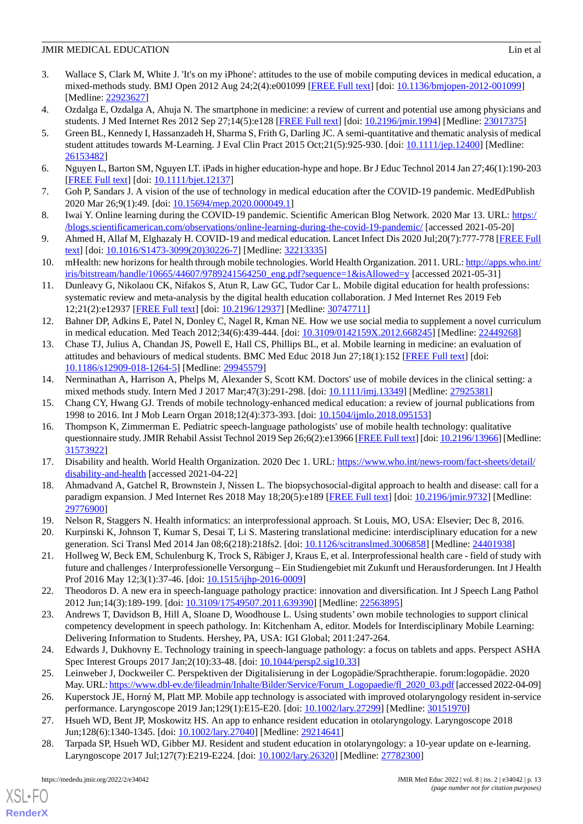- <span id="page-12-0"></span>3. Wallace S, Clark M, White J. 'It's on my iPhone': attitudes to the use of mobile computing devices in medical education, a mixed-methods study. BMJ Open 2012 Aug 24;2(4):e001099 [[FREE Full text](https://bmjopen.bmj.com/lookup/pmidlookup?view=long&pmid=22923627)] [doi: [10.1136/bmjopen-2012-001099](http://dx.doi.org/10.1136/bmjopen-2012-001099)] [Medline: [22923627](http://www.ncbi.nlm.nih.gov/entrez/query.fcgi?cmd=Retrieve&db=PubMed&list_uids=22923627&dopt=Abstract)]
- <span id="page-12-20"></span><span id="page-12-1"></span>4. Ozdalga E, Ozdalga A, Ahuja N. The smartphone in medicine: a review of current and potential use among physicians and students. J Med Internet Res 2012 Sep 27;14(5):e128 [\[FREE Full text\]](https://www.jmir.org/2012/5/e128/) [doi: [10.2196/jmir.1994\]](http://dx.doi.org/10.2196/jmir.1994) [Medline: [23017375](http://www.ncbi.nlm.nih.gov/entrez/query.fcgi?cmd=Retrieve&db=PubMed&list_uids=23017375&dopt=Abstract)]
- 5. Green BL, Kennedy I, Hassanzadeh H, Sharma S, Frith G, Darling JC. A semi-quantitative and thematic analysis of medical student attitudes towards M-Learning. J Eval Clin Pract 2015 Oct;21(5):925-930. [doi: [10.1111/jep.12400](http://dx.doi.org/10.1111/jep.12400)] [Medline: [26153482](http://www.ncbi.nlm.nih.gov/entrez/query.fcgi?cmd=Retrieve&db=PubMed&list_uids=26153482&dopt=Abstract)]
- <span id="page-12-3"></span><span id="page-12-2"></span>6. Nguyen L, Barton SM, Nguyen LT. iPads in higher education-hype and hope. Br J Educ Technol 2014 Jan 27;46(1):190-203 [[FREE Full text](https://doi.org/10.1111/bjet.12137)] [doi: [10.1111/bjet.12137](http://dx.doi.org/10.1111/bjet.12137)]
- 7. Goh P, Sandars J. A vision of the use of technology in medical education after the COVID-19 pandemic. MedEdPublish 2020 Mar 26;9(1):49. [doi: [10.15694/mep.2020.000049.1\]](http://dx.doi.org/10.15694/mep.2020.000049.1)
- <span id="page-12-4"></span>8. Iwai Y. Online learning during the COVID-19 pandemic. Scientific American Blog Network. 2020 Mar 13. URL: [https:/](https://blogs.scientificamerican.com/observations/online-learning-during-the-covid-19-pandemic/) [/blogs.scientificamerican.com/observations/online-learning-during-the-covid-19-pandemic/](https://blogs.scientificamerican.com/observations/online-learning-during-the-covid-19-pandemic/) [accessed 2021-05-20]
- <span id="page-12-5"></span>9. Ahmed H, Allaf M, Elghazaly H. COVID-19 and medical education. Lancet Infect Dis 2020 Jul;20(7):777-778 [\[FREE Full](http://europepmc.org/abstract/MED/32213335) [text](http://europepmc.org/abstract/MED/32213335)] [doi: [10.1016/S1473-3099\(20\)30226-7\]](http://dx.doi.org/10.1016/S1473-3099(20)30226-7) [Medline: [32213335](http://www.ncbi.nlm.nih.gov/entrez/query.fcgi?cmd=Retrieve&db=PubMed&list_uids=32213335&dopt=Abstract)]
- <span id="page-12-6"></span>10. mHealth: new horizons for health through mobile technologies. World Health Organization. 2011. URL: [http://apps.who.int/](http://apps.who.int/iris/bitstream/handle/10665/44607/9789241564250_eng.pdf?sequence=1&isAllowed=y) [iris/bitstream/handle/10665/44607/9789241564250\\_eng.pdf?sequence=1&isAllowed=y](http://apps.who.int/iris/bitstream/handle/10665/44607/9789241564250_eng.pdf?sequence=1&isAllowed=y) [accessed 2021-05-31]
- <span id="page-12-7"></span>11. Dunleavy G, Nikolaou CK, Nifakos S, Atun R, Law GC, Tudor Car L. Mobile digital education for health professions: systematic review and meta-analysis by the digital health education collaboration. J Med Internet Res 2019 Feb 12;21(2):e12937 [\[FREE Full text](https://www.jmir.org/2019/2/e12937/)] [doi: [10.2196/12937\]](http://dx.doi.org/10.2196/12937) [Medline: [30747711\]](http://www.ncbi.nlm.nih.gov/entrez/query.fcgi?cmd=Retrieve&db=PubMed&list_uids=30747711&dopt=Abstract)
- 12. Bahner DP, Adkins E, Patel N, Donley C, Nagel R, Kman NE. How we use social media to supplement a novel curriculum in medical education. Med Teach 2012;34(6):439-444. [doi: [10.3109/0142159X.2012.668245](http://dx.doi.org/10.3109/0142159X.2012.668245)] [Medline: [22449268](http://www.ncbi.nlm.nih.gov/entrez/query.fcgi?cmd=Retrieve&db=PubMed&list_uids=22449268&dopt=Abstract)]
- <span id="page-12-8"></span>13. Chase TJ, Julius A, Chandan JS, Powell E, Hall CS, Phillips BL, et al. Mobile learning in medicine: an evaluation of attitudes and behaviours of medical students. BMC Med Educ 2018 Jun 27;18(1):152 [\[FREE Full text\]](https://bmcmededuc.biomedcentral.com/articles/10.1186/s12909-018-1264-5) [doi: [10.1186/s12909-018-1264-5\]](http://dx.doi.org/10.1186/s12909-018-1264-5) [Medline: [29945579](http://www.ncbi.nlm.nih.gov/entrez/query.fcgi?cmd=Retrieve&db=PubMed&list_uids=29945579&dopt=Abstract)]
- <span id="page-12-10"></span><span id="page-12-9"></span>14. Nerminathan A, Harrison A, Phelps M, Alexander S, Scott KM. Doctors' use of mobile devices in the clinical setting: a mixed methods study. Intern Med J 2017 Mar; 47(3): 291-298. [doi: [10.1111/imj.13349](http://dx.doi.org/10.1111/imj.13349)] [Medline: [27925381\]](http://www.ncbi.nlm.nih.gov/entrez/query.fcgi?cmd=Retrieve&db=PubMed&list_uids=27925381&dopt=Abstract)
- 15. Chang CY, Hwang GJ. Trends of mobile technology-enhanced medical education: a review of journal publications from 1998 to 2016. Int J Mob Learn Organ 2018;12(4):373-393. [doi: [10.1504/ijmlo.2018.095153](http://dx.doi.org/10.1504/ijmlo.2018.095153)]
- <span id="page-12-12"></span><span id="page-12-11"></span>16. Thompson K, Zimmerman E. Pediatric speech-language pathologists' use of mobile health technology: qualitative questionnaire study. JMIR Rehabil Assist Technol 2019 Sep 26;6(2):e13966 [\[FREE Full text](https://rehab.jmir.org/2019/2/e13966/)] [doi: [10.2196/13966\]](http://dx.doi.org/10.2196/13966) [Medline: [31573922](http://www.ncbi.nlm.nih.gov/entrez/query.fcgi?cmd=Retrieve&db=PubMed&list_uids=31573922&dopt=Abstract)]
- 17. Disability and health. World Health Organization. 2020 Dec 1. URL: [https://www.who.int/news-room/fact-sheets/detail/](https://www.who.int/news-room/fact-sheets/detail/disability-and-health) [disability-and-health](https://www.who.int/news-room/fact-sheets/detail/disability-and-health) [accessed 2021-04-22]
- <span id="page-12-13"></span>18. Ahmadvand A, Gatchel R, Brownstein J, Nissen L. The biopsychosocial-digital approach to health and disease: call for a paradigm expansion. J Med Internet Res 2018 May 18;20(5):e189 [\[FREE Full text\]](https://www.jmir.org/2018/5/e189/) [doi: [10.2196/jmir.9732\]](http://dx.doi.org/10.2196/jmir.9732) [Medline: [29776900](http://www.ncbi.nlm.nih.gov/entrez/query.fcgi?cmd=Retrieve&db=PubMed&list_uids=29776900&dopt=Abstract)]
- 19. Nelson R, Staggers N. Health informatics: an interprofessional approach. St Louis, MO, USA: Elsevier; Dec 8, 2016.
- <span id="page-12-14"></span>20. Kurpinski K, Johnson T, Kumar S, Desai T, Li S. Mastering translational medicine: interdisciplinary education for a new generation. Sci Transl Med 2014 Jan 08;6(218):218fs2. [doi: [10.1126/scitranslmed.3006858](http://dx.doi.org/10.1126/scitranslmed.3006858)] [Medline: [24401938\]](http://www.ncbi.nlm.nih.gov/entrez/query.fcgi?cmd=Retrieve&db=PubMed&list_uids=24401938&dopt=Abstract)
- <span id="page-12-19"></span>21. Hollweg W, Beck EM, Schulenburg K, Trock S, Räbiger J, Kraus E, et al. Interprofessional health care - field of study with future and challenges / Interprofessionelle Versorgung – Ein Studiengebiet mit Zukunft und Herausforderungen. Int J Health Prof 2016 May 12;3(1):37-46. [doi: [10.1515/ijhp-2016-0009](http://dx.doi.org/10.1515/ijhp-2016-0009)]
- <span id="page-12-16"></span>22. Theodoros D. A new era in speech-language pathology practice: innovation and diversification. Int J Speech Lang Pathol 2012 Jun;14(3):189-199. [doi: [10.3109/17549507.2011.639390](http://dx.doi.org/10.3109/17549507.2011.639390)] [Medline: [22563895\]](http://www.ncbi.nlm.nih.gov/entrez/query.fcgi?cmd=Retrieve&db=PubMed&list_uids=22563895&dopt=Abstract)
- <span id="page-12-17"></span><span id="page-12-15"></span>23. Andrews T, Davidson B, Hill A, Sloane D, Woodhouse L. Using students' own mobile technologies to support clinical competency development in speech pathology. In: Kitchenham A, editor. Models for Interdisciplinary Mobile Learning: Delivering Information to Students. Hershey, PA, USA: IGI Global; 2011:247-264.
- 24. Edwards J, Dukhovny E. Technology training in speech-language pathology: a focus on tablets and apps. Perspect ASHA Spec Interest Groups 2017 Jan;2(10):33-48. [doi: [10.1044/persp2.sig10.33](http://dx.doi.org/10.1044/persp2.sig10.33)]
- <span id="page-12-18"></span>25. Leinweber J, Dockweiler C. Perspektiven der Digitalisierung in der Logopädie/Sprachtherapie. forum:logopädie. 2020 May. URL: [https://www.dbl-ev.de/fileadmin/Inhalte/Bilder/Service/Forum\\_Logopaedie/fl\\_2020\\_03.pdf](https://www.dbl-ev.de/fileadmin/Inhalte/Bilder/Service/Forum_Logopaedie/fl_2020_03.pdf)[accessed 2022-04-09]
- 26. Kuperstock JE, Horný M, Platt MP. Mobile app technology is associated with improved otolaryngology resident in-service performance. Laryngoscope 2019 Jan;129(1):E15-E20. [doi: [10.1002/lary.27299\]](http://dx.doi.org/10.1002/lary.27299) [Medline: [30151970\]](http://www.ncbi.nlm.nih.gov/entrez/query.fcgi?cmd=Retrieve&db=PubMed&list_uids=30151970&dopt=Abstract)
- 27. Hsueh WD, Bent JP, Moskowitz HS. An app to enhance resident education in otolaryngology. Laryngoscope 2018 Jun;128(6):1340-1345. [doi: [10.1002/lary.27040](http://dx.doi.org/10.1002/lary.27040)] [Medline: [29214641\]](http://www.ncbi.nlm.nih.gov/entrez/query.fcgi?cmd=Retrieve&db=PubMed&list_uids=29214641&dopt=Abstract)
- 28. Tarpada SP, Hsueh WD, Gibber MJ. Resident and student education in otolaryngology: a 10-year update on e-learning. Laryngoscope 2017 Jul;127(7):E219-E224. [doi: [10.1002/lary.26320\]](http://dx.doi.org/10.1002/lary.26320) [Medline: [27782300\]](http://www.ncbi.nlm.nih.gov/entrez/query.fcgi?cmd=Retrieve&db=PubMed&list_uids=27782300&dopt=Abstract)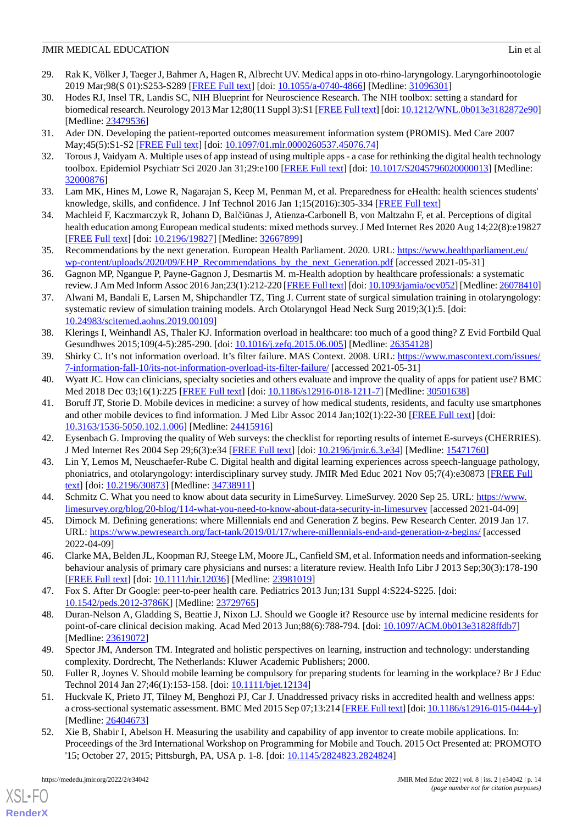- <span id="page-13-0"></span>29. Rak K, Völker J, Taeger J, Bahmer A, Hagen R, Albrecht UV. Medical apps in oto-rhino-laryngology. Laryngorhinootologie 2019 Mar;98(S 01):S253-S289 [\[FREE Full text\]](http://www.thieme-connect.com/DOI/DOI?10.1055/a-0740-4866) [doi: [10.1055/a-0740-4866](http://dx.doi.org/10.1055/a-0740-4866)] [Medline: [31096301](http://www.ncbi.nlm.nih.gov/entrez/query.fcgi?cmd=Retrieve&db=PubMed&list_uids=31096301&dopt=Abstract)]
- <span id="page-13-1"></span>30. Hodes RJ, Insel TR, Landis SC, NIH Blueprint for Neuroscience Research. The NIH toolbox: setting a standard for biomedical research. Neurology 2013 Mar 12;80(11 Suppl 3):S1 [\[FREE Full text](http://europepmc.org/abstract/MED/23479536)] [doi: [10.1212/WNL.0b013e3182872e90](http://dx.doi.org/10.1212/WNL.0b013e3182872e90)] [Medline: [23479536](http://www.ncbi.nlm.nih.gov/entrez/query.fcgi?cmd=Retrieve&db=PubMed&list_uids=23479536&dopt=Abstract)]
- <span id="page-13-3"></span><span id="page-13-2"></span>31. Ader DN. Developing the patient-reported outcomes measurement information system (PROMIS). Med Care 2007 May;45(5):S1-S2 [\[FREE Full text\]](https://doi.org/10.1097/01.mlr.0000260537.45076.74) [doi: [10.1097/01.mlr.0000260537.45076.74\]](http://dx.doi.org/10.1097/01.mlr.0000260537.45076.74)
- <span id="page-13-4"></span>32. Torous J, Vaidyam A. Multiple uses of app instead of using multiple apps - a case for rethinking the digital health technology toolbox. Epidemiol Psychiatr Sci 2020 Jan 31;29:e100 [\[FREE Full text\]](http://europepmc.org/abstract/MED/32000876) [doi: [10.1017/S2045796020000013\]](http://dx.doi.org/10.1017/S2045796020000013) [Medline: [32000876](http://www.ncbi.nlm.nih.gov/entrez/query.fcgi?cmd=Retrieve&db=PubMed&list_uids=32000876&dopt=Abstract)]
- <span id="page-13-6"></span>33. Lam MK, Hines M, Lowe R, Nagarajan S, Keep M, Penman M, et al. Preparedness for eHealth: health sciences students' knowledge, skills, and confidence. J Inf Technol 2016 Jan 1;15(2016):305-334 [[FREE Full text](https://opus.lib.uts.edu.au/handle/10453/116508)]
- <span id="page-13-5"></span>34. Machleid F, Kaczmarczyk R, Johann D, Balčiūnas J, Atienza-Carbonell B, von Maltzahn F, et al. Perceptions of digital health education among European medical students: mixed methods survey. J Med Internet Res 2020 Aug 14;22(8):e19827 [[FREE Full text](https://www.jmir.org/2020/8/e19827/)] [doi: [10.2196/19827\]](http://dx.doi.org/10.2196/19827) [Medline: [32667899\]](http://www.ncbi.nlm.nih.gov/entrez/query.fcgi?cmd=Retrieve&db=PubMed&list_uids=32667899&dopt=Abstract)
- <span id="page-13-7"></span>35. Recommendations by the next generation. European Health Parliament. 2020. URL: [https://www.healthparliament.eu/](https://www.healthparliament.eu/wp-content/uploads/2020/09/EHP_Recommendations_by_the_next_Generation.pdf) [wp-content/uploads/2020/09/EHP\\_Recommendations\\_by\\_the\\_next\\_Generation.pdf](https://www.healthparliament.eu/wp-content/uploads/2020/09/EHP_Recommendations_by_the_next_Generation.pdf) [accessed 2021-05-31]
- <span id="page-13-8"></span>36. Gagnon MP, Ngangue P, Payne-Gagnon J, Desmartis M. m-Health adoption by healthcare professionals: a systematic review. J Am Med Inform Assoc 2016 Jan;23(1):212-220 [[FREE Full text\]](http://europepmc.org/abstract/MED/26078410) [doi: [10.1093/jamia/ocv052](http://dx.doi.org/10.1093/jamia/ocv052)] [Medline: [26078410](http://www.ncbi.nlm.nih.gov/entrez/query.fcgi?cmd=Retrieve&db=PubMed&list_uids=26078410&dopt=Abstract)]
- <span id="page-13-9"></span>37. Alwani M, Bandali E, Larsen M, Shipchandler TZ, Ting J. Current state of surgical simulation training in otolaryngology: systematic review of simulation training models. Arch Otolaryngol Head Neck Surg 2019;3(1):5. [doi: [10.24983/scitemed.aohns.2019.00109](http://dx.doi.org/10.24983/scitemed.aohns.2019.00109)]
- <span id="page-13-11"></span><span id="page-13-10"></span>38. Klerings I, Weinhandl AS, Thaler KJ. Information overload in healthcare: too much of a good thing? Z Evid Fortbild Qual Gesundhwes 2015;109(4-5):285-290. [doi: [10.1016/j.zefq.2015.06.005\]](http://dx.doi.org/10.1016/j.zefq.2015.06.005) [Medline: [26354128](http://www.ncbi.nlm.nih.gov/entrez/query.fcgi?cmd=Retrieve&db=PubMed&list_uids=26354128&dopt=Abstract)]
- <span id="page-13-12"></span>39. Shirky C. It's not information overload. It's filter failure. MAS Context. 2008. URL: [https://www.mascontext.com/issues/](https://www.mascontext.com/issues/7-information-fall-10/its-not-information-overload-its-filter-failure/) [7-information-fall-10/its-not-information-overload-its-filter-failure/](https://www.mascontext.com/issues/7-information-fall-10/its-not-information-overload-its-filter-failure/) [accessed 2021-05-31]
- 40. Wyatt JC. How can clinicians, specialty societies and others evaluate and improve the quality of apps for patient use? BMC Med 2018 Dec 03;16(1):225 [\[FREE Full text\]](https://bmcmedicine.biomedcentral.com/articles/10.1186/s12916-018-1211-7) [doi: [10.1186/s12916-018-1211-7](http://dx.doi.org/10.1186/s12916-018-1211-7)] [Medline: [30501638](http://www.ncbi.nlm.nih.gov/entrez/query.fcgi?cmd=Retrieve&db=PubMed&list_uids=30501638&dopt=Abstract)]
- <span id="page-13-14"></span><span id="page-13-13"></span>41. Boruff JT, Storie D. Mobile devices in medicine: a survey of how medical students, residents, and faculty use smartphones and other mobile devices to find information. J Med Libr Assoc 2014 Jan;102(1):22-30 [\[FREE Full text\]](http://europepmc.org/abstract/MED/24415916) [doi: [10.3163/1536-5050.102.1.006\]](http://dx.doi.org/10.3163/1536-5050.102.1.006) [Medline: [24415916](http://www.ncbi.nlm.nih.gov/entrez/query.fcgi?cmd=Retrieve&db=PubMed&list_uids=24415916&dopt=Abstract)]
- <span id="page-13-15"></span>42. Eysenbach G. Improving the quality of Web surveys: the checklist for reporting results of internet E-surveys (CHERRIES). J Med Internet Res 2004 Sep 29;6(3):e34 [\[FREE Full text\]](https://www.jmir.org/2004/3/e34/) [doi: [10.2196/jmir.6.3.e34](http://dx.doi.org/10.2196/jmir.6.3.e34)] [Medline: [15471760](http://www.ncbi.nlm.nih.gov/entrez/query.fcgi?cmd=Retrieve&db=PubMed&list_uids=15471760&dopt=Abstract)]
- <span id="page-13-16"></span>43. Lin Y, Lemos M, Neuschaefer-Rube C. Digital health and digital learning experiences across speech-language pathology, phoniatrics, and otolaryngology: interdisciplinary survey study. JMIR Med Educ 2021 Nov 05;7(4):e30873 [[FREE Full](https://mededu.jmir.org/2021/4/e30873/) [text](https://mededu.jmir.org/2021/4/e30873/)] [doi: [10.2196/30873\]](http://dx.doi.org/10.2196/30873) [Medline: [34738911\]](http://www.ncbi.nlm.nih.gov/entrez/query.fcgi?cmd=Retrieve&db=PubMed&list_uids=34738911&dopt=Abstract)
- <span id="page-13-17"></span>44. Schmitz C. What you need to know about data security in LimeSurvey. LimeSurvey. 2020 Sep 25. URL: [https://www.](https://www.limesurvey.org/blog/20-blog/114-what-you-need-to-know-about-data-security-in-limesurvey) [limesurvey.org/blog/20-blog/114-what-you-need-to-know-about-data-security-in-limesurvey](https://www.limesurvey.org/blog/20-blog/114-what-you-need-to-know-about-data-security-in-limesurvey) [accessed 2021-04-09]
- 45. Dimock M. Defining generations: where Millennials end and Generation Z begins. Pew Research Center. 2019 Jan 17. URL: <https://www.pewresearch.org/fact-tank/2019/01/17/where-millennials-end-and-generation-z-begins/> [accessed 2022-04-09]
- <span id="page-13-18"></span>46. Clarke MA, Belden JL, Koopman RJ, Steege LM, Moore JL, Canfield SM, et al. Information needs and information-seeking behaviour analysis of primary care physicians and nurses: a literature review. Health Info Libr J 2013 Sep;30(3):178-190 [[FREE Full text](https://doi.org/10.1111/hir.12036)] [doi: [10.1111/hir.12036\]](http://dx.doi.org/10.1111/hir.12036) [Medline: [23981019\]](http://www.ncbi.nlm.nih.gov/entrez/query.fcgi?cmd=Retrieve&db=PubMed&list_uids=23981019&dopt=Abstract)
- <span id="page-13-19"></span>47. Fox S. After Dr Google: peer-to-peer health care. Pediatrics 2013 Jun;131 Suppl 4:S224-S225. [doi: [10.1542/peds.2012-3786K](http://dx.doi.org/10.1542/peds.2012-3786K)] [Medline: [23729765\]](http://www.ncbi.nlm.nih.gov/entrez/query.fcgi?cmd=Retrieve&db=PubMed&list_uids=23729765&dopt=Abstract)
- <span id="page-13-21"></span><span id="page-13-20"></span>48. Duran-Nelson A, Gladding S, Beattie J, Nixon LJ. Should we Google it? Resource use by internal medicine residents for point-of-care clinical decision making. Acad Med 2013 Jun;88(6):788-794. [doi: [10.1097/ACM.0b013e31828ffdb7\]](http://dx.doi.org/10.1097/ACM.0b013e31828ffdb7) [Medline: [23619072](http://www.ncbi.nlm.nih.gov/entrez/query.fcgi?cmd=Retrieve&db=PubMed&list_uids=23619072&dopt=Abstract)]
- <span id="page-13-22"></span>49. Spector JM, Anderson TM. Integrated and holistic perspectives on learning, instruction and technology: understanding complexity. Dordrecht, The Netherlands: Kluwer Academic Publishers; 2000.
- 50. Fuller R, Joynes V. Should mobile learning be compulsory for preparing students for learning in the workplace? Br J Educ Technol 2014 Jan 27;46(1):153-158. [doi: [10.1111/bjet.12134](http://dx.doi.org/10.1111/bjet.12134)]
- 51. Huckvale K, Prieto JT, Tilney M, Benghozi PJ, Car J. Unaddressed privacy risks in accredited health and wellness apps: a cross-sectional systematic assessment. BMC Med 2015 Sep 07;13:214 [[FREE Full text](https://bmcmedicine.biomedcentral.com/articles/10.1186/s12916-015-0444-y)] [doi: [10.1186/s12916-015-0444-y\]](http://dx.doi.org/10.1186/s12916-015-0444-y) [Medline: [26404673](http://www.ncbi.nlm.nih.gov/entrez/query.fcgi?cmd=Retrieve&db=PubMed&list_uids=26404673&dopt=Abstract)]
- 52. Xie B, Shabir I, Abelson H. Measuring the usability and capability of app inventor to create mobile applications. In: Proceedings of the 3rd International Workshop on Programming for Mobile and Touch. 2015 Oct Presented at: PROMOTO '15; October 27, 2015; Pittsburgh, PA, USA p. 1-8. [doi: [10.1145/2824823.2824824](http://dx.doi.org/10.1145/2824823.2824824)]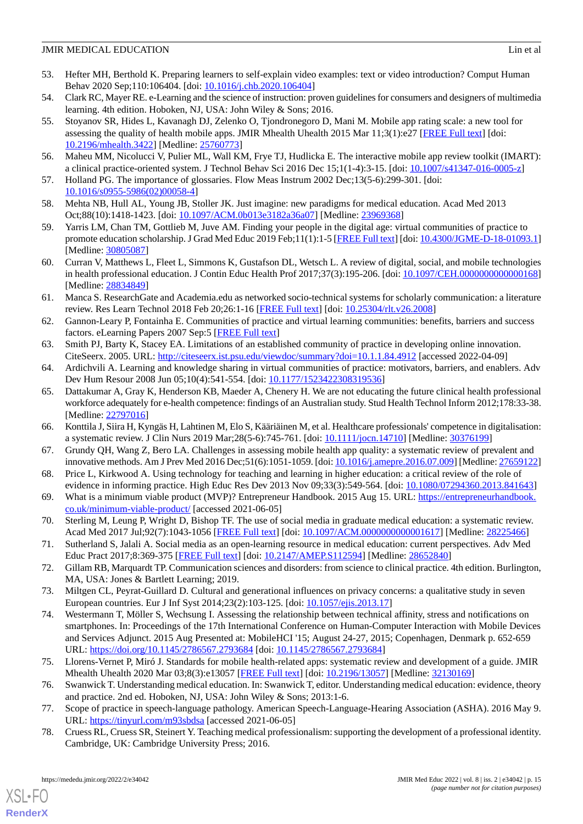- <span id="page-14-0"></span>53. Hefter MH, Berthold K. Preparing learners to self-explain video examples: text or video introduction? Comput Human Behav 2020 Sep;110:106404. [doi: [10.1016/j.chb.2020.106404](http://dx.doi.org/10.1016/j.chb.2020.106404)]
- <span id="page-14-2"></span><span id="page-14-1"></span>54. Clark RC, Mayer RE. e-Learning and the science of instruction: proven guidelines for consumers and designers of multimedia learning. 4th edition. Hoboken, NJ, USA: John Wiley & Sons; 2016.
- 55. Stoyanov SR, Hides L, Kavanagh DJ, Zelenko O, Tjondronegoro D, Mani M. Mobile app rating scale: a new tool for assessing the quality of health mobile apps. JMIR Mhealth Uhealth 2015 Mar 11;3(1):e27 [\[FREE Full text](https://mhealth.jmir.org/2015/1/e27/)] [doi: [10.2196/mhealth.3422](http://dx.doi.org/10.2196/mhealth.3422)] [Medline: [25760773](http://www.ncbi.nlm.nih.gov/entrez/query.fcgi?cmd=Retrieve&db=PubMed&list_uids=25760773&dopt=Abstract)]
- <span id="page-14-4"></span><span id="page-14-3"></span>56. Maheu MM, Nicolucci V, Pulier ML, Wall KM, Frye TJ, Hudlicka E. The interactive mobile app review toolkit (IMART): a clinical practice-oriented system. J Technol Behav Sci 2016 Dec 15;1(1-4):3-15. [doi: [10.1007/s41347-016-0005-z](http://dx.doi.org/10.1007/s41347-016-0005-z)]
- <span id="page-14-5"></span>57. Holland PG. The importance of glossaries. Flow Meas Instrum 2002 Dec;13(5-6):299-301. [doi: [10.1016/s0955-5986\(02\)00058-4](http://dx.doi.org/10.1016/s0955-5986(02)00058-4)]
- <span id="page-14-6"></span>58. Mehta NB, Hull AL, Young JB, Stoller JK. Just imagine: new paradigms for medical education. Acad Med 2013 Oct;88(10):1418-1423. [doi: [10.1097/ACM.0b013e3182a36a07](http://dx.doi.org/10.1097/ACM.0b013e3182a36a07)] [Medline: [23969368](http://www.ncbi.nlm.nih.gov/entrez/query.fcgi?cmd=Retrieve&db=PubMed&list_uids=23969368&dopt=Abstract)]
- <span id="page-14-7"></span>59. Yarris LM, Chan TM, Gottlieb M, Juve AM. Finding your people in the digital age: virtual communities of practice to promote education scholarship. J Grad Med Educ 2019 Feb;11(1):1-5 [\[FREE Full text](http://europepmc.org/abstract/MED/30805087)] [doi: [10.4300/JGME-D-18-01093.1\]](http://dx.doi.org/10.4300/JGME-D-18-01093.1) [Medline: [30805087](http://www.ncbi.nlm.nih.gov/entrez/query.fcgi?cmd=Retrieve&db=PubMed&list_uids=30805087&dopt=Abstract)]
- <span id="page-14-8"></span>60. Curran V, Matthews L, Fleet L, Simmons K, Gustafson DL, Wetsch L. A review of digital, social, and mobile technologies in health professional education. J Contin Educ Health Prof 2017;37(3):195-206. [doi: [10.1097/CEH.0000000000000168](http://dx.doi.org/10.1097/CEH.0000000000000168)] [Medline: [28834849](http://www.ncbi.nlm.nih.gov/entrez/query.fcgi?cmd=Retrieve&db=PubMed&list_uids=28834849&dopt=Abstract)]
- <span id="page-14-9"></span>61. Manca S. ResearchGate and Academia.edu as networked socio-technical systems for scholarly communication: a literature review. Res Learn Technol 2018 Feb 20;26:1-16 [\[FREE Full text\]](https://eric.ed.gov/?id=EJ1173547) [doi: [10.25304/rlt.v26.2008](http://dx.doi.org/10.25304/rlt.v26.2008)]
- <span id="page-14-11"></span><span id="page-14-10"></span>62. Gannon-Leary P, Fontainha E. Communities of practice and virtual learning communities: benefits, barriers and success factors. eLearning Papers 2007 Sep:5 [[FREE Full text](https://papers.ssrn.com/abstract=1018066)]
- <span id="page-14-12"></span>63. Smith PJ, Barty K, Stacey EA. Limitations of an established community of practice in developing online innovation. CiteSeerx. 2005. URL:<http://citeseerx.ist.psu.edu/viewdoc/summary?doi=10.1.1.84.4912> [accessed 2022-04-09]
- 64. Ardichvili A. Learning and knowledge sharing in virtual communities of practice: motivators, barriers, and enablers. Adv Dev Hum Resour 2008 Jun 05;10(4):541-554. [doi: [10.1177/1523422308319536\]](http://dx.doi.org/10.1177/1523422308319536)
- <span id="page-14-14"></span><span id="page-14-13"></span>65. Dattakumar A, Gray K, Henderson KB, Maeder A, Chenery H. We are not educating the future clinical health professional workforce adequately for e-health competence: findings of an Australian study. Stud Health Technol Inform 2012;178:33-38. [Medline: [22797016](http://www.ncbi.nlm.nih.gov/entrez/query.fcgi?cmd=Retrieve&db=PubMed&list_uids=22797016&dopt=Abstract)]
- <span id="page-14-15"></span>66. Konttila J, Siira H, Kyngäs H, Lahtinen M, Elo S, Kääriäinen M, et al. Healthcare professionals' competence in digitalisation: a systematic review. J Clin Nurs 2019 Mar;28(5-6):745-761. [doi: [10.1111/jocn.14710\]](http://dx.doi.org/10.1111/jocn.14710) [Medline: [30376199\]](http://www.ncbi.nlm.nih.gov/entrez/query.fcgi?cmd=Retrieve&db=PubMed&list_uids=30376199&dopt=Abstract)
- <span id="page-14-16"></span>67. Grundy QH, Wang Z, Bero LA. Challenges in assessing mobile health app quality: a systematic review of prevalent and innovative methods. Am J Prev Med 2016 Dec;51(6):1051-1059. [doi: [10.1016/j.amepre.2016.07.009\]](http://dx.doi.org/10.1016/j.amepre.2016.07.009) [Medline: [27659122](http://www.ncbi.nlm.nih.gov/entrez/query.fcgi?cmd=Retrieve&db=PubMed&list_uids=27659122&dopt=Abstract)]
- <span id="page-14-17"></span>68. Price L, Kirkwood A. Using technology for teaching and learning in higher education: a critical review of the role of evidence in informing practice. High Educ Res Dev 2013 Nov 09;33(3):549-564. [doi: [10.1080/07294360.2013.841643\]](http://dx.doi.org/10.1080/07294360.2013.841643)
- <span id="page-14-18"></span>69. What is a minimum viable product (MVP)? Entrepreneur Handbook. 2015 Aug 15. URL: [https://entrepreneurhandbook.](https://entrepreneurhandbook.co.uk/minimum-viable-product/) [co.uk/minimum-viable-product/](https://entrepreneurhandbook.co.uk/minimum-viable-product/) [accessed 2021-06-05]
- <span id="page-14-19"></span>70. Sterling M, Leung P, Wright D, Bishop TF. The use of social media in graduate medical education: a systematic review. Acad Med 2017 Jul;92(7):1043-1056 [[FREE Full text\]](http://europepmc.org/abstract/MED/28225466) [doi: [10.1097/ACM.0000000000001617](http://dx.doi.org/10.1097/ACM.0000000000001617)] [Medline: [28225466](http://www.ncbi.nlm.nih.gov/entrez/query.fcgi?cmd=Retrieve&db=PubMed&list_uids=28225466&dopt=Abstract)]
- <span id="page-14-21"></span><span id="page-14-20"></span>71. Sutherland S, Jalali A. Social media as an open-learning resource in medical education: current perspectives. Adv Med Educ Pract 2017;8:369-375 [\[FREE Full text\]](https://dx.doi.org/10.2147/AMEP.S112594) [doi: [10.2147/AMEP.S112594\]](http://dx.doi.org/10.2147/AMEP.S112594) [Medline: [28652840\]](http://www.ncbi.nlm.nih.gov/entrez/query.fcgi?cmd=Retrieve&db=PubMed&list_uids=28652840&dopt=Abstract)
- 72. Gillam RB, Marquardt TP. Communication sciences and disorders: from science to clinical practice. 4th edition. Burlington, MA, USA: Jones & Bartlett Learning; 2019.
- <span id="page-14-22"></span>73. Miltgen CL, Peyrat-Guillard D. Cultural and generational influences on privacy concerns: a qualitative study in seven European countries. Eur J Inf Syst 2014;23(2):103-125. [doi: [10.1057/ejis.2013.17](http://dx.doi.org/10.1057/ejis.2013.17)]
- <span id="page-14-24"></span><span id="page-14-23"></span>74. Westermann T, Möller S, Wechsung I. Assessing the relationship between technical affinity, stress and notifications on smartphones. In: Proceedings of the 17th International Conference on Human-Computer Interaction with Mobile Devices and Services Adjunct. 2015 Aug Presented at: MobileHCI '15; August 24-27, 2015; Copenhagen, Denmark p. 652-659 URL: <https://doi.org/10.1145/2786567.2793684> [doi: [10.1145/2786567.2793684](http://dx.doi.org/10.1145/2786567.2793684)]
- <span id="page-14-25"></span>75. Llorens-Vernet P, Miró J. Standards for mobile health-related apps: systematic review and development of a guide. JMIR Mhealth Uhealth 2020 Mar 03;8(3):e13057 [[FREE Full text](https://mhealth.jmir.org/2020/3/e13057/)] [doi: [10.2196/13057\]](http://dx.doi.org/10.2196/13057) [Medline: [32130169](http://www.ncbi.nlm.nih.gov/entrez/query.fcgi?cmd=Retrieve&db=PubMed&list_uids=32130169&dopt=Abstract)]
- 76. Swanwick T. Understanding medical education. In: Swanwick T, editor. Understanding medical education: evidence, theory and practice. 2nd ed. Hoboken, NJ, USA: John Wiley & Sons; 2013:1-6.
- 77. Scope of practice in speech-language pathology. American Speech-Language-Hearing Association (ASHA). 2016 May 9. URL: [https://tinyurl.com/m93sbdsa](https://www.asha.org/policy/SP2016-00343/?utm_source=ashautm_medium=enewsletterutm_campaign=accessslp030916) [accessed 2021-06-05]
- 78. Cruess RL, Cruess SR, Steinert Y. Teaching medical professionalism: supporting the development of a professional identity. Cambridge, UK: Cambridge University Press; 2016.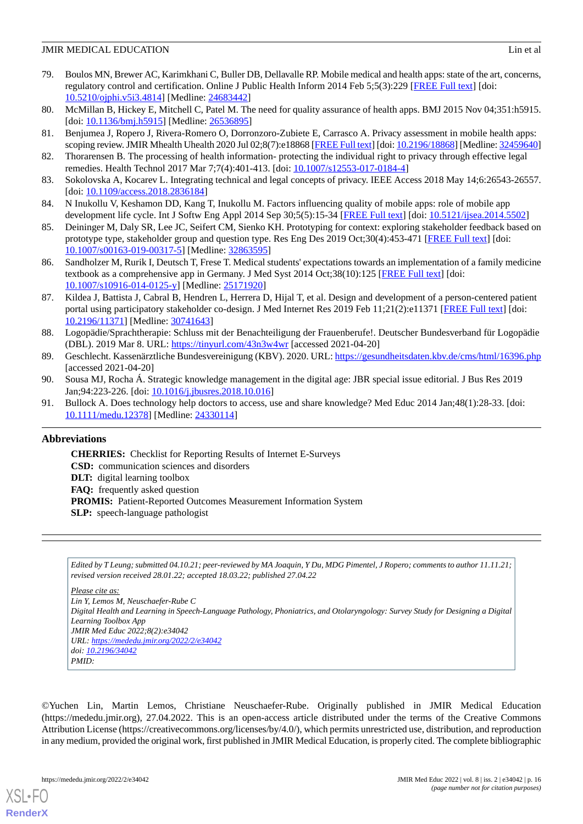- <span id="page-15-0"></span>79. Boulos MN, Brewer AC, Karimkhani C, Buller DB, Dellavalle RP. Mobile medical and health apps: state of the art, concerns, regulatory control and certification. Online J Public Health Inform 2014 Feb 5;5(3):229 [\[FREE Full text\]](http://europepmc.org/abstract/MED/24683442) [doi: [10.5210/ojphi.v5i3.4814](http://dx.doi.org/10.5210/ojphi.v5i3.4814)] [Medline: [24683442\]](http://www.ncbi.nlm.nih.gov/entrez/query.fcgi?cmd=Retrieve&db=PubMed&list_uids=24683442&dopt=Abstract)
- <span id="page-15-2"></span><span id="page-15-1"></span>80. McMillan B, Hickey E, Mitchell C, Patel M. The need for quality assurance of health apps. BMJ 2015 Nov 04;351:h5915. [doi: [10.1136/bmj.h5915](http://dx.doi.org/10.1136/bmj.h5915)] [Medline: [26536895](http://www.ncbi.nlm.nih.gov/entrez/query.fcgi?cmd=Retrieve&db=PubMed&list_uids=26536895&dopt=Abstract)]
- <span id="page-15-3"></span>81. Benjumea J, Ropero J, Rivera-Romero O, Dorronzoro-Zubiete E, Carrasco A. Privacy assessment in mobile health apps: scoping review. JMIR Mhealth Uhealth 2020 Jul 02;8(7):e18868 [\[FREE Full text\]](https://mhealth.jmir.org/2020/7/e18868/) [doi: [10.2196/18868](http://dx.doi.org/10.2196/18868)] [Medline: [32459640\]](http://www.ncbi.nlm.nih.gov/entrez/query.fcgi?cmd=Retrieve&db=PubMed&list_uids=32459640&dopt=Abstract)
- <span id="page-15-4"></span>82. Thorarensen B. The processing of health information- protecting the individual right to privacy through effective legal remedies. Health Technol 2017 Mar 7;7(4):401-413. [doi: [10.1007/s12553-017-0184-4](http://dx.doi.org/10.1007/s12553-017-0184-4)]
- <span id="page-15-5"></span>83. Sokolovska A, Kocarev L. Integrating technical and legal concepts of privacy. IEEE Access 2018 May 14;6:26543-26557. [doi: [10.1109/access.2018.2836184\]](http://dx.doi.org/10.1109/access.2018.2836184)
- <span id="page-15-6"></span>84. N Inukollu V, Keshamon DD, Kang T, Inukollu M. Factors influencing quality of mobile apps: role of mobile app development life cycle. Int J Softw Eng Appl 2014 Sep 30;5(5):15-34 [[FREE Full text](http://arxiv.org/abs/1410.4537)] [doi: [10.5121/ijsea.2014.5502](http://dx.doi.org/10.5121/ijsea.2014.5502)]
- <span id="page-15-7"></span>85. Deininger M, Daly SR, Lee JC, Seifert CM, Sienko KH. Prototyping for context: exploring stakeholder feedback based on prototype type, stakeholder group and question type. Res Eng Des 2019 Oct;30(4):453-471 [[FREE Full text](http://europepmc.org/abstract/MED/32863595)] [doi: [10.1007/s00163-019-00317-5\]](http://dx.doi.org/10.1007/s00163-019-00317-5) [Medline: [32863595\]](http://www.ncbi.nlm.nih.gov/entrez/query.fcgi?cmd=Retrieve&db=PubMed&list_uids=32863595&dopt=Abstract)
- <span id="page-15-8"></span>86. Sandholzer M, Rurik I, Deutsch T, Frese T. Medical students' expectations towards an implementation of a family medicine textbook as a comprehensive app in Germany. J Med Syst 2014 Oct;38(10):125 [[FREE Full text](http://europepmc.org/abstract/MED/25171920)] [doi: [10.1007/s10916-014-0125-y\]](http://dx.doi.org/10.1007/s10916-014-0125-y) [Medline: [25171920](http://www.ncbi.nlm.nih.gov/entrez/query.fcgi?cmd=Retrieve&db=PubMed&list_uids=25171920&dopt=Abstract)]
- <span id="page-15-9"></span>87. Kildea J, Battista J, Cabral B, Hendren L, Herrera D, Hijal T, et al. Design and development of a person-centered patient portal using participatory stakeholder co-design. J Med Internet Res 2019 Feb 11;21(2):e11371 [\[FREE Full text\]](https://www.jmir.org/2019/2/e11371/) [doi: [10.2196/11371\]](http://dx.doi.org/10.2196/11371) [Medline: [30741643\]](http://www.ncbi.nlm.nih.gov/entrez/query.fcgi?cmd=Retrieve&db=PubMed&list_uids=30741643&dopt=Abstract)
- <span id="page-15-11"></span><span id="page-15-10"></span>88. Logopädie/Sprachtherapie: Schluss mit der Benachteiligung der Frauenberufe!. Deutscher Bundesverband für Logopädie (DBL). 2019 Mar 8. URL: [https://tinyurl.com/43n3w4wr](https://www.dbs-ev.de/news-einzelansicht/?tx_ttnews%5Btt_news%5D=1478&cHash=f46993fc292f0826134c7d7bdad710ca) [accessed 2021-04-20]
- <span id="page-15-12"></span>89. Geschlecht. Kassenärztliche Bundesvereinigung (KBV). 2020. URL:<https://gesundheitsdaten.kbv.de/cms/html/16396.php> [accessed 2021-04-20]
- 90. Sousa MJ, Rocha Á. Strategic knowledge management in the digital age: JBR special issue editorial. J Bus Res 2019 Jan;94:223-226. [doi: [10.1016/j.jbusres.2018.10.016](http://dx.doi.org/10.1016/j.jbusres.2018.10.016)]
- 91. Bullock A. Does technology help doctors to access, use and share knowledge? Med Educ 2014 Jan;48(1):28-33. [doi: [10.1111/medu.12378\]](http://dx.doi.org/10.1111/medu.12378) [Medline: [24330114](http://www.ncbi.nlm.nih.gov/entrez/query.fcgi?cmd=Retrieve&db=PubMed&list_uids=24330114&dopt=Abstract)]

## **Abbreviations**

**CHERRIES:** Checklist for Reporting Results of Internet E-Surveys **CSD:** communication sciences and disorders **DLT:** digital learning toolbox **FAQ:** frequently asked question **PROMIS:** Patient-Reported Outcomes Measurement Information System **SLP:** speech-language pathologist

*Edited by T Leung; submitted 04.10.21; peer-reviewed by MA Joaquin, Y Du, MDG Pimentel, J Ropero; comments to author 11.11.21; revised version received 28.01.22; accepted 18.03.22; published 27.04.22*

*Please cite as:*

*Lin Y, Lemos M, Neuschaefer-Rube C Digital Health and Learning in Speech-Language Pathology, Phoniatrics, and Otolaryngology: Survey Study for Designing a Digital Learning Toolbox App JMIR Med Educ 2022;8(2):e34042 URL: <https://mededu.jmir.org/2022/2/e34042> doi: [10.2196/34042](http://dx.doi.org/10.2196/34042) PMID:*

©Yuchen Lin, Martin Lemos, Christiane Neuschaefer-Rube. Originally published in JMIR Medical Education (https://mededu.jmir.org), 27.04.2022. This is an open-access article distributed under the terms of the Creative Commons Attribution License (https://creativecommons.org/licenses/by/4.0/), which permits unrestricted use, distribution, and reproduction in any medium, provided the original work, first published in JMIR Medical Education, is properly cited. The complete bibliographic